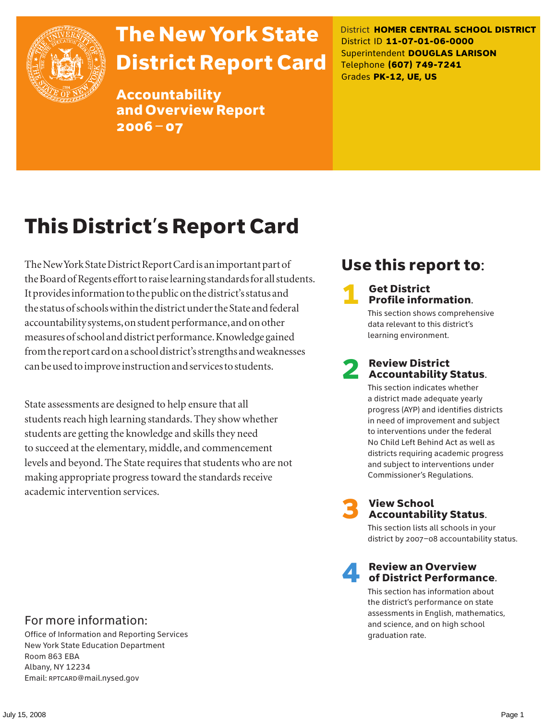

# The New York State District Report Card

Accountability and Overview Report 2006–07

District **HOMER CENTRAL SCHOOL DISTRICT** District ID **11-07-01-06-0000** Superintendent **DOUGLAS LARISON** Telephone **(607) 749-7241** Grades **PK-12, UE, US**

# This District's Report Card

The New York State District Report Card is an important part of the Board of Regents effort to raise learning standards for all students. It provides information to the public on the district's status and the status of schools within the district under the State and federal accountability systems, on student performance, and on other measures of school and district performance. Knowledge gained from the report card on a school district's strengths and weaknesses can be used to improve instruction and services to students.

State assessments are designed to help ensure that all students reach high learning standards. They show whether students are getting the knowledge and skills they need to succeed at the elementary, middle, and commencement levels and beyond. The State requires that students who are not making appropriate progress toward the standards receive academic intervention services.

# Use this report to:

#### **Get District** Profile information.

This section shows comprehensive data relevant to this district's learning environment.

# **2** Review District<br>Accountability Status.

This section indicates whether a district made adequate yearly progress (AYP) and identifies districts in need of improvement and subject to interventions under the federal No Child Left Behind Act as well as districts requiring academic progress and subject to interventions under Commissioner's Regulations.



# **3** View School<br>Accountability Status.

This section lists all schools in your district by 2007–08 accountability status.

#### **Review an Overview** of District Performance.

This section has information about the district's performance on state assessments in English, mathematics, and science, and on high school graduation rate.

#### For more information:

Office of Information and Reporting Services New York State Education Department Room 863 EBA Albany, NY 12234 Email: RPTCARD@mail.nysed.gov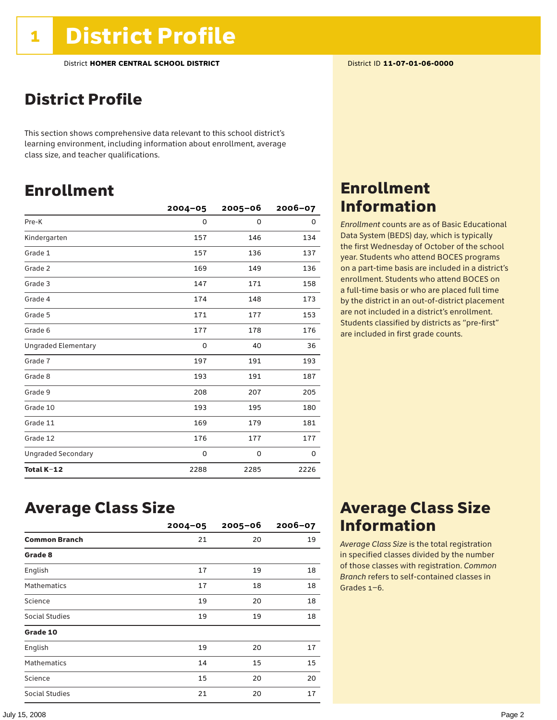# District Profile

This section shows comprehensive data relevant to this school district's learning environment, including information about enrollment, average class size, and teacher qualifications.

# Enrollment

|                            | $2004 - 05$ | $2005 - 06$ | $2006 - 07$ |
|----------------------------|-------------|-------------|-------------|
| Pre-K                      | $\Omega$    | $\Omega$    | 0           |
| Kindergarten               | 157         | 146         | 134         |
| Grade 1                    | 157         | 136         | 137         |
| Grade 2                    | 169         | 149         | 136         |
| Grade 3                    | 147         | 171         | 158         |
| Grade 4                    | 174         | 148         | 173         |
| Grade 5                    | 171         | 177         | 153         |
| Grade 6                    | 177         | 178         | 176         |
| <b>Ungraded Elementary</b> | 0           | 40          | 36          |
| Grade 7                    | 197         | 191         | 193         |
| Grade 8                    | 193         | 191         | 187         |
| Grade 9                    | 208         | 207         | 205         |
| Grade 10                   | 193         | 195         | 180         |
| Grade 11                   | 169         | 179         | 181         |
| Grade 12                   | 176         | 177         | 177         |
| <b>Ungraded Secondary</b>  | 0           | 0           | 0           |
| Total K-12                 | 2288        | 2285        | 2226        |

# Enrollment Information

*Enrollment* counts are as of Basic Educational Data System (BEDS) day, which is typically the first Wednesday of October of the school year. Students who attend BOCES programs on a part-time basis are included in a district's enrollment. Students who attend BOCES on a full-time basis or who are placed full time by the district in an out-of-district placement are not included in a district's enrollment. Students classified by districts as "pre-first" are included in first grade counts.

### Average Class Size

|                      | $2004 - 05$ | $2005 - 06$ | $2006 - 07$ |
|----------------------|-------------|-------------|-------------|
| <b>Common Branch</b> | 21          | 20          | 19          |
| Grade 8              |             |             |             |
| English              | 17          | 19          | 18          |
| <b>Mathematics</b>   | 17          | 18          | 18          |
| Science              | 19          | 20          | 18          |
| Social Studies       | 19          | 19          | 18          |
| Grade 10             |             |             |             |
| English              | 19          | 20          | 17          |
| <b>Mathematics</b>   | 14          | 15          | 15          |
| Science              | 15          | 20          | 20          |
| Social Studies       | 21          | 20          | 17          |

## Average Class Size Information

*Average Class Size* is the total registration in specified classes divided by the number of those classes with registration. *Common Branch* refers to self-contained classes in Grades 1–6.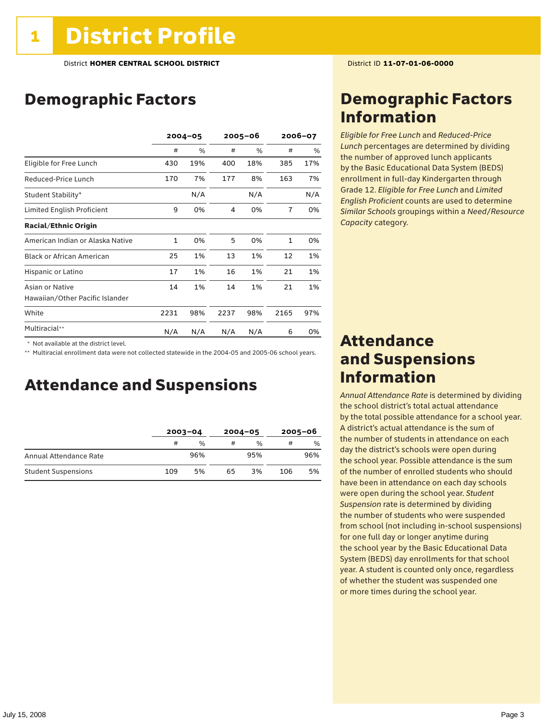# Demographic Factors

|                                  | $2004 - 05$ |     | 2005-06 |      | 2006-07        |      |
|----------------------------------|-------------|-----|---------|------|----------------|------|
|                                  | #           | %   | #       | $\%$ | #              | $\%$ |
| Eligible for Free Lunch          | 430         | 19% | 400     | 18%  | 385            | 17%  |
| Reduced-Price Lunch              | 170         | 7%  | 177     | 8%   | 163            | 7%   |
| Student Stability*               |             | N/A |         | N/A  |                | N/A  |
| Limited English Proficient       | 9           | 0%  | 4       | 0%   | $\overline{7}$ | 0%   |
| <b>Racial/Ethnic Origin</b>      |             |     |         |      |                |      |
| American Indian or Alaska Native | 1           | 0%  | 5       | 0%   | $\mathbf{1}$   | 0%   |
| <b>Black or African American</b> | 25          | 1%  | 13      | 1%   | 12             | 1%   |
| Hispanic or Latino               | 17          | 1%  | 16      | 1%   | 21             | 1%   |
| Asian or Native                  | 14          | 1%  | 14      | 1%   | 21             | 1%   |
| Hawaiian/Other Pacific Islander  |             |     |         |      |                |      |
| White                            | 2231        | 98% | 2237    | 98%  | 2165           | 97%  |
| Multiracial**                    | N/A         | N/A | N/A     | N/A  | 6              | 0%   |

 \* Not available at the district level.

\*\* Multiracial enrollment data were not collected statewide in the 2004-05 and 2005-06 school years.

### Attendance and Suspensions

|                            | $2003 - 04$ |               | $2004 - 05$ |               | $2005 - 06$ |     |
|----------------------------|-------------|---------------|-------------|---------------|-------------|-----|
|                            | #           | $\frac{0}{0}$ | #           | $\frac{0}{0}$ | #           | %   |
| Annual Attendance Rate     |             | 96%           |             | 95%           |             | 96% |
| <b>Student Suspensions</b> | 109         | 5%            | 65          | 3%            | 106         | 5%  |

## Demographic Factors Information

*Eligible for Free Lunch* and *Reduced*-*Price Lunch* percentages are determined by dividing the number of approved lunch applicants by the Basic Educational Data System (BEDS) enrollment in full-day Kindergarten through Grade 12. *Eligible for Free Lunch* and *Limited English Proficient* counts are used to determine *Similar Schools* groupings within a *Need*/*Resource Capacity* category.

### Attendance and Suspensions Information

*Annual Attendance Rate* is determined by dividing the school district's total actual attendance by the total possible attendance for a school year. A district's actual attendance is the sum of the number of students in attendance on each day the district's schools were open during the school year. Possible attendance is the sum of the number of enrolled students who should have been in attendance on each day schools were open during the school year. *Student Suspension* rate is determined by dividing the number of students who were suspended from school (not including in-school suspensions) for one full day or longer anytime during the school year by the Basic Educational Data System (BEDS) day enrollments for that school year. A student is counted only once, regardless of whether the student was suspended one or more times during the school year.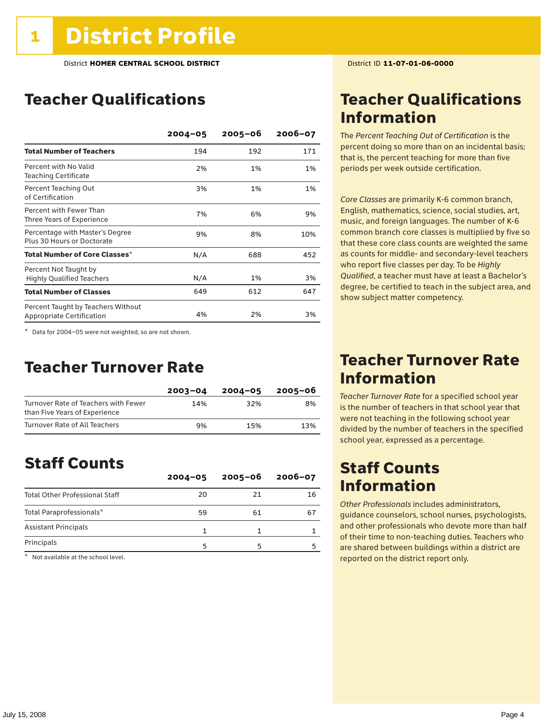# Teacher Qualifications

|                                                                        | $2004 - 05$ | $2005 - 06$ | $2006 - 07$ |
|------------------------------------------------------------------------|-------------|-------------|-------------|
| <b>Total Number of Teachers</b>                                        | 194         | 192         | 171         |
| Percent with No Valid<br><b>Teaching Certificate</b>                   | 2%          | 1%          | 1%          |
| Percent Teaching Out<br>of Certification                               | 3%          | 1%          | 1%          |
| Percent with Fewer Than<br>Three Years of Experience                   | 7%          | 6%          | 9%          |
| Percentage with Master's Degree<br>Plus 30 Hours or Doctorate          | 9%          | 8%          | 10%         |
| Total Number of Core Classes*                                          | N/A         | 688         | 452         |
| Percent Not Taught by<br><b>Highly Qualified Teachers</b>              | N/A         | 1%          | 3%          |
| <b>Total Number of Classes</b>                                         | 649         | 612         | 647         |
| Percent Taught by Teachers Without<br><b>Appropriate Certification</b> | 4%          | 2%          | 3%          |

\* Data for 2004–05 were not weighted, so are not shown.

#### Teacher Turnover Rate

|                                                                       | $2003 - 04$ | $2004 - 05$ | 2005-06 |
|-----------------------------------------------------------------------|-------------|-------------|---------|
| Turnover Rate of Teachers with Fewer<br>than Five Years of Experience | 14%         | 32%         | 8%      |
| Turnover Rate of All Teachers                                         | 9%          | 15%         | 13%     |

## Staff Counts

|                                       | $2004 - 05$ | $2005 - 06$ | $2006 - 07$ |
|---------------------------------------|-------------|-------------|-------------|
| <b>Total Other Professional Staff</b> | 20          | 21          | 16          |
| Total Paraprofessionals*              | 59          | 61          | 67          |
| <b>Assistant Principals</b>           |             |             |             |
| Principals                            | г,          |             |             |

\* Not available at the school level.

# Teacher Qualifications Information

The *Percent Teaching Out of Certification* is the percent doing so more than on an incidental basis; that is, the percent teaching for more than five periods per week outside certification.

*Core Classes* are primarily K-6 common branch, English, mathematics, science, social studies, art, music, and foreign languages. The number of K-6 common branch core classes is multiplied by five so that these core class counts are weighted the same as counts for middle- and secondary-level teachers who report five classes per day. To be *Highly Qualified*, a teacher must have at least a Bachelor's degree, be certified to teach in the subject area, and show subject matter competency.

### Teacher Turnover Rate Information

*Teacher Turnover Rate* for a specified school year is the number of teachers in that school year that were not teaching in the following school year divided by the number of teachers in the specified school year, expressed as a percentage.

# Staff Counts Information

*Other Professionals* includes administrators, guidance counselors, school nurses, psychologists, and other professionals who devote more than half of their time to non-teaching duties. Teachers who are shared between buildings within a district are reported on the district report only.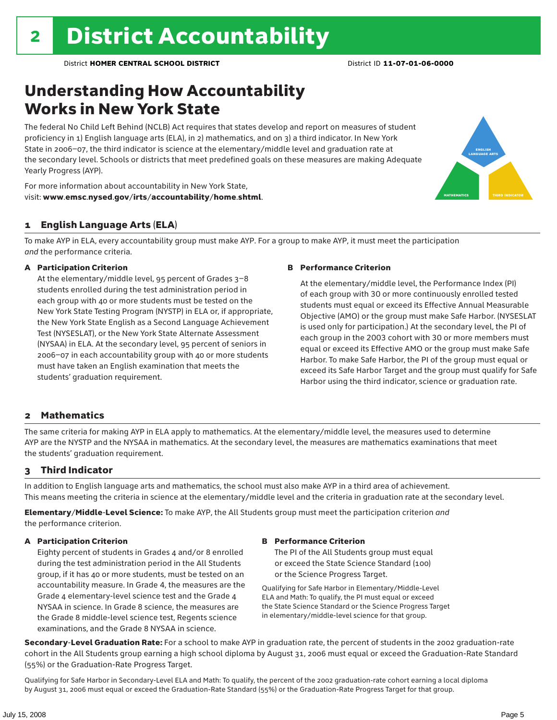# Understanding How Accountability Works in New York State

The federal No Child Left Behind (NCLB) Act requires that states develop and report on measures of student proficiency in 1) English language arts (ELA), in 2) mathematics, and on 3) a third indicator. In New York State in 2006–07, the third indicator is science at the elementary/middle level and graduation rate at the secondary level. Schools or districts that meet predefined goals on these measures are making Adequate Yearly Progress (AYP).



For more information about accountability in New York State, visit: www.emsc.nysed.gov/irts/accountability/home.shtml.

#### 1 English Language Arts (ELA)

To make AYP in ELA, every accountability group must make AYP. For a group to make AYP, it must meet the participation *and* the performance criteria.

#### A Participation Criterion

At the elementary/middle level, 95 percent of Grades 3–8 students enrolled during the test administration period in each group with 40 or more students must be tested on the New York State Testing Program (NYSTP) in ELA or, if appropriate, the New York State English as a Second Language Achievement Test (NYSESLAT), or the New York State Alternate Assessment (NYSAA) in ELA. At the secondary level, 95 percent of seniors in 2006–07 in each accountability group with 40 or more students must have taken an English examination that meets the students' graduation requirement.

#### B Performance Criterion

At the elementary/middle level, the Performance Index (PI) of each group with 30 or more continuously enrolled tested students must equal or exceed its Effective Annual Measurable Objective (AMO) or the group must make Safe Harbor. (NYSESLAT is used only for participation.) At the secondary level, the PI of each group in the 2003 cohort with 30 or more members must equal or exceed its Effective AMO or the group must make Safe Harbor. To make Safe Harbor, the PI of the group must equal or exceed its Safe Harbor Target and the group must qualify for Safe Harbor using the third indicator, science or graduation rate.

#### 2 Mathematics

The same criteria for making AYP in ELA apply to mathematics. At the elementary/middle level, the measures used to determine AYP are the NYSTP and the NYSAA in mathematics. At the secondary level, the measures are mathematics examinations that meet the students' graduation requirement.

#### 3 Third Indicator

In addition to English language arts and mathematics, the school must also make AYP in a third area of achievement. This means meeting the criteria in science at the elementary/middle level and the criteria in graduation rate at the secondary level.

Elementary/Middle-Level Science: To make AYP, the All Students group must meet the participation criterion *and* the performance criterion.

#### A Participation Criterion

Eighty percent of students in Grades 4 and/or 8 enrolled during the test administration period in the All Students group, if it has 40 or more students, must be tested on an accountability measure. In Grade 4, the measures are the Grade 4 elementary-level science test and the Grade 4 NYSAA in science. In Grade 8 science, the measures are the Grade 8 middle-level science test, Regents science examinations, and the Grade 8 NYSAA in science.

#### B Performance Criterion

The PI of the All Students group must equal or exceed the State Science Standard (100) or the Science Progress Target.

Qualifying for Safe Harbor in Elementary/Middle-Level ELA and Math: To qualify, the PI must equal or exceed the State Science Standard or the Science Progress Target in elementary/middle-level science for that group.

Secondary-Level Graduation Rate: For a school to make AYP in graduation rate, the percent of students in the 2002 graduation-rate cohort in the All Students group earning a high school diploma by August 31, 2006 must equal or exceed the Graduation-Rate Standard (55%) or the Graduation-Rate Progress Target.

Qualifying for Safe Harbor in Secondary-Level ELA and Math: To qualify, the percent of the 2002 graduation-rate cohort earning a local diploma by August 31, 2006 must equal or exceed the Graduation-Rate Standard (55%) or the Graduation-Rate Progress Target for that group.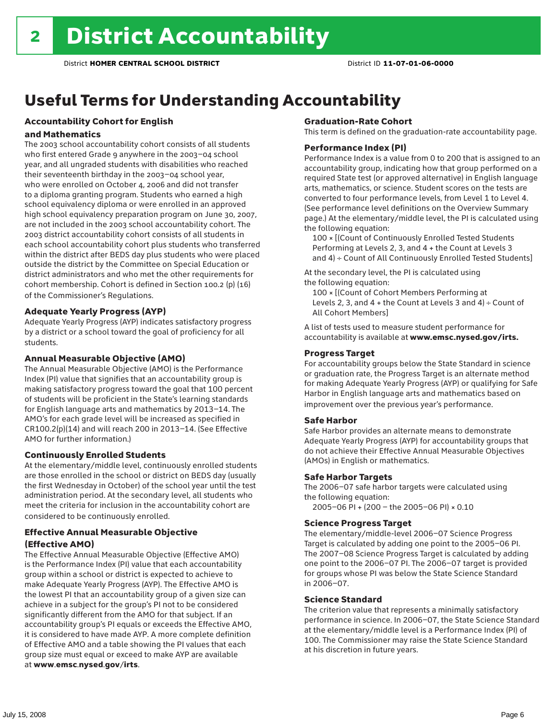# Useful Terms for Understanding Accountability

### Accountability Cohort for English

#### and Mathematics

The 2003 school accountability cohort consists of all students who first entered Grade 9 anywhere in the 2003–04 school year, and all ungraded students with disabilities who reached their seventeenth birthday in the 2003–04 school year, who were enrolled on October 4, 2006 and did not transfer to a diploma granting program. Students who earned a high school equivalency diploma or were enrolled in an approved high school equivalency preparation program on June 30, 2007, are not included in the 2003 school accountability cohort. The 2003 district accountability cohort consists of all students in each school accountability cohort plus students who transferred within the district after BEDS day plus students who were placed outside the district by the Committee on Special Education or district administrators and who met the other requirements for cohort membership. Cohort is defined in Section 100.2 (p) (16) of the Commissioner's Regulations.

#### Adequate Yearly Progress (AYP)

Adequate Yearly Progress (AYP) indicates satisfactory progress by a district or a school toward the goal of proficiency for all students.

#### Annual Measurable Objective (AMO)

The Annual Measurable Objective (AMO) is the Performance Index (PI) value that signifies that an accountability group is making satisfactory progress toward the goal that 100 percent of students will be proficient in the State's learning standards for English language arts and mathematics by 2013–14. The AMO's for each grade level will be increased as specified in CR100.2(p)(14) and will reach 200 in 2013–14. (See Effective AMO for further information.)

#### Continuously Enrolled Students

At the elementary/middle level, continuously enrolled students are those enrolled in the school or district on BEDS day (usually the first Wednesday in October) of the school year until the test administration period. At the secondary level, all students who meet the criteria for inclusion in the accountability cohort are considered to be continuously enrolled.

#### Effective Annual Measurable Objective (Effective AMO)

The Effective Annual Measurable Objective (Effective AMO) is the Performance Index (PI) value that each accountability group within a school or district is expected to achieve to make Adequate Yearly Progress (AYP). The Effective AMO is the lowest PI that an accountability group of a given size can achieve in a subject for the group's PI not to be considered significantly different from the AMO for that subject. If an accountability group's PI equals or exceeds the Effective AMO, it is considered to have made AYP. A more complete definition of Effective AMO and a table showing the PI values that each group size must equal or exceed to make AYP are available at www.emsc.nysed.gov/irts.

#### Graduation-Rate Cohort

This term is defined on the graduation-rate accountability page.

#### Performance Index (PI)

Performance Index is a value from 0 to 200 that is assigned to an accountability group, indicating how that group performed on a required State test (or approved alternative) in English language arts, mathematics, or science. Student scores on the tests are converted to four performance levels, from Level 1 to Level 4. (See performance level definitions on the Overview Summary page.) At the elementary/middle level, the PI is calculated using the following equation:

100 × [(Count of Continuously Enrolled Tested Students Performing at Levels 2, 3, and 4 + the Count at Levels 3 and 4) ÷ Count of All Continuously Enrolled Tested Students]

At the secondary level, the PI is calculated using the following equation:

100 × [(Count of Cohort Members Performing at Levels 2, 3, and  $4 +$  the Count at Levels 3 and  $4) \div$  Count of All Cohort Members]

A list of tests used to measure student performance for accountability is available at www.emsc.nysed.gov/irts.

#### Progress Target

For accountability groups below the State Standard in science or graduation rate, the Progress Target is an alternate method for making Adequate Yearly Progress (AYP) or qualifying for Safe Harbor in English language arts and mathematics based on improvement over the previous year's performance.

#### Safe Harbor

Safe Harbor provides an alternate means to demonstrate Adequate Yearly Progress (AYP) for accountability groups that do not achieve their Effective Annual Measurable Objectives (AMOs) in English or mathematics.

#### Safe Harbor Targets

The 2006–07 safe harbor targets were calculated using the following equation:

2005–06 PI + (200 – the 2005–06 PI) × 0.10

#### Science Progress Target

The elementary/middle-level 2006–07 Science Progress Target is calculated by adding one point to the 2005–06 PI. The 2007–08 Science Progress Target is calculated by adding one point to the 2006–07 PI. The 2006–07 target is provided for groups whose PI was below the State Science Standard in 2006–07.

#### Science Standard

The criterion value that represents a minimally satisfactory performance in science. In 2006–07, the State Science Standard at the elementary/middle level is a Performance Index (PI) of 100. The Commissioner may raise the State Science Standard at his discretion in future years.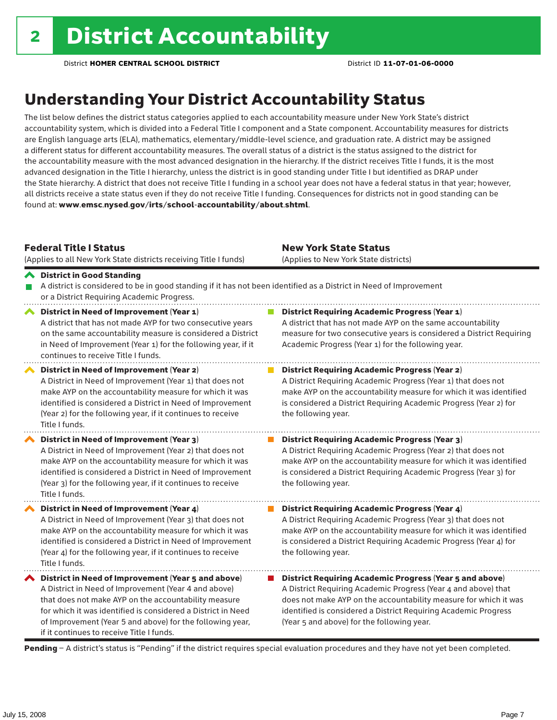# Understanding Your District Accountability Status

The list below defines the district status categories applied to each accountability measure under New York State's district accountability system, which is divided into a Federal Title I component and a State component. Accountability measures for districts are English language arts (ELA), mathematics, elementary/middle-level science, and graduation rate. A district may be assigned a different status for different accountability measures. The overall status of a district is the status assigned to the district for the accountability measure with the most advanced designation in the hierarchy. If the district receives Title I funds, it is the most advanced designation in the Title I hierarchy, unless the district is in good standing under Title I but identified as DRAP under the State hierarchy. A district that does not receive Title I funding in a school year does not have a federal status in that year; however, all districts receive a state status even if they do not receive Title I funding. Consequences for districts not in good standing can be found at: www.emsc.nysed.gov/irts/school-accountability/about.shtml.

#### Federal Title I Status

District in Good Standing

(Applies to all New York State districts receiving Title I funds)

New York State Status (Applies to New York State districts)

#### A district is considered to be in good standing if it has not been identified as a District in Need of Improvement or a District Requiring Academic Progress. ◆ District in Need of Improvement (Year 1) **District Requiring Academic Progress (Year 1)** A district that has not made AYP for two consecutive years A district that has not made AYP on the same accountability on the same accountability measure is considered a District measure for two consecutive years is considered a District Requiring in Need of Improvement (Year 1) for the following year, if it Academic Progress (Year 1) for the following year. continues to receive Title I funds.

District in Need of Improvement (Year 2) A District in Need of Improvement (Year 1) that does not make AYP on the accountability measure for which it was identified is considered a District in Need of Improvement (Year 2) for the following year, if it continues to receive Title I funds.

District in Need of Improvement (Year 3) A District in Need of Improvement (Year 2) that does not make AYP on the accountability measure for which it was identified is considered a District in Need of Improvement (Year 3) for the following year, if it continues to receive Title I funds.

◆ District in Need of Improvement (Year 4) A District in Need of Improvement (Year 3) that does not make AYP on the accountability measure for which it was identified is considered a District in Need of Improvement (Year 4) for the following year, if it continues to receive Title I funds.

 $\blacktriangle$  District in Need of Improvement (Year 5 and above) A District in Need of Improvement (Year 4 and above) that does not make AYP on the accountability measure for which it was identified is considered a District in Need of Improvement (Year 5 and above) for the following year, if it continues to receive Title I funds.

**District Requiring Academic Progress (Year 2)** A District Requiring Academic Progress (Year 1) that does not make AYP on the accountability measure for which it was identified is considered a District Requiring Academic Progress (Year 2) for the following year.

#### $\mathcal{L}_{\mathcal{A}}$ District Requiring Academic Progress (Year 3) A District Requiring Academic Progress (Year 2) that does not make AYP on the accountability measure for which it was identified is considered a District Requiring Academic Progress (Year 3) for the following year.

**District Requiring Academic Progress (Year 4)** A District Requiring Academic Progress (Year 3) that does not make AYP on the accountability measure for which it was identified is considered a District Requiring Academic Progress (Year 4) for the following year.

■ District Requiring Academic Progress (Year 5 and above) A District Requiring Academic Progress (Year 4 and above) that does not make AYP on the accountability measure for which it was identified is considered a District Requiring Academic Progress (Year 5 and above) for the following year.

Pending - A district's status is "Pending" if the district requires special evaluation procedures and they have not yet been completed.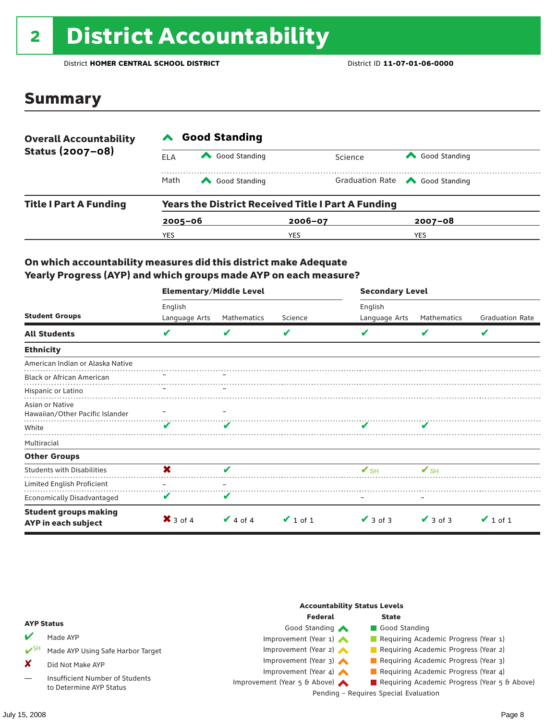# <sup>2</sup> District Accountability

District **HOMER CENTRAL SCHOOL DISTRICT** District ID **11-07-01-06-0000**

### Summary

| <b>Overall Accountability</b><br>Status (2007-08) | <b>Good Standing</b> |                                                           |             |         |                                       |  |  |
|---------------------------------------------------|----------------------|-----------------------------------------------------------|-------------|---------|---------------------------------------|--|--|
|                                                   | ELA                  | Good Standing                                             |             | Science | Good Standing                         |  |  |
|                                                   | Math                 | Good Standing                                             |             |         | Graduation Rate <a> Good Standing</a> |  |  |
| <b>Title I Part A Funding</b>                     |                      | <b>Years the District Received Title I Part A Funding</b> |             |         |                                       |  |  |
|                                                   | $2005 - 06$          |                                                           | $2006 - 07$ |         | $2007 - 08$                           |  |  |
|                                                   | YES                  |                                                           | YES         |         | <b>YES</b>                            |  |  |

#### On which accountability measures did this district make Adequate Yearly Progress (AYP) and which groups made AYP on each measure?

|                                                     | <b>Elementary/Middle Level</b> |               |               | <b>Secondary Level</b>   |               |                        |  |
|-----------------------------------------------------|--------------------------------|---------------|---------------|--------------------------|---------------|------------------------|--|
|                                                     | English                        |               |               | English                  |               |                        |  |
| <b>Student Groups</b>                               | Language Arts                  | Mathematics   | Science       | Language Arts            | Mathematics   | <b>Graduation Rate</b> |  |
| <b>All Students</b>                                 | V                              | V             | V             |                          | V             | V                      |  |
| <b>Ethnicity</b>                                    |                                |               |               |                          |               |                        |  |
| American Indian or Alaska Native                    |                                |               |               |                          |               |                        |  |
| <b>Black or African American</b>                    |                                |               |               |                          |               |                        |  |
| Hispanic or Latino                                  |                                |               |               |                          |               |                        |  |
| Asian or Native<br>Hawaiian/Other Pacific Islander  |                                |               |               |                          |               |                        |  |
| White                                               | ✔                              | v             |               |                          |               |                        |  |
| Multiracial                                         |                                |               |               |                          |               |                        |  |
| <b>Other Groups</b>                                 |                                |               |               |                          |               |                        |  |
| <b>Students with Disabilities</b>                   | X                              | ✔             |               | $\mathbf{V}_{\text{SH}}$ | $V_{\rm SH}$  |                        |  |
| Limited English Proficient                          |                                |               |               |                          |               |                        |  |
| Economically Disadvantaged                          | v                              | V             |               |                          |               |                        |  |
| <b>Student groups making</b><br>AYP in each subject | $\mathsf{X}$ 3 of 4            | $\vee$ 4 of 4 | $\vee$ 1 of 1 | $\vee$ 3 of 3            | $\vee$ 3 of 3 | $\vee$ 1 of 1          |  |

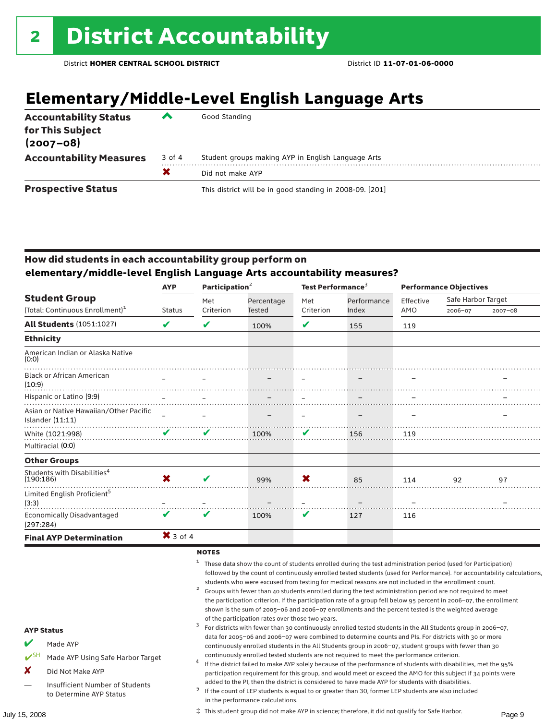# **Elementary/Middle-Level English Language Arts**

| <b>Accountability Status</b><br>for This Subject<br>$(2007 - 08)$ | ‴      | Good Standing                                            |
|-------------------------------------------------------------------|--------|----------------------------------------------------------|
| <b>Accountability Measures</b>                                    | 3 of 4 | Student groups making AYP in English Language Arts       |
|                                                                   | X      | Did not make AYP                                         |
| <b>Prospective Status</b>                                         |        | This district will be in good standing in 2008-09. [201] |

#### How did students in each accountability group perform on **elementary/middle-level English Language Arts accountability measures?**

|                                                              | <b>AYP</b>    | Participation $2$ |        | Test Performance <sup>3</sup> |            | <b>Performance Objectives</b> |             |             |                    |  |
|--------------------------------------------------------------|---------------|-------------------|--------|-------------------------------|------------|-------------------------------|-------------|-------------|--------------------|--|
| <b>Student Group</b>                                         |               |                   |        | Met                           | Percentage | Met                           | Performance | Effective   | Safe Harbor Target |  |
| (Total: Continuous Enrollment) <sup>1</sup>                  | <b>Status</b> | Criterion         | Tested | Criterion                     | Index      | AMO                           | 2006-07     | $2007 - 08$ |                    |  |
| <b>All Students (1051:1027)</b>                              | V             | V                 | 100%   | ✔                             | 155        | 119                           |             |             |                    |  |
| <b>Ethnicity</b>                                             |               |                   |        |                               |            |                               |             |             |                    |  |
| American Indian or Alaska Native<br>(0:0)                    |               |                   |        |                               |            |                               |             |             |                    |  |
| <b>Black or African American</b><br>(10:9)                   |               |                   |        |                               |            |                               |             |             |                    |  |
| Hispanic or Latino (9:9)                                     | $\equiv$      |                   |        |                               |            |                               |             |             |                    |  |
| Asian or Native Hawaiian/Other Pacific<br>Islander $(11:11)$ |               |                   |        |                               |            |                               |             |             |                    |  |
| White (1021:998)                                             | V             | V                 | 100%   | V                             | 156        | 119                           |             |             |                    |  |
| Multiracial (0:0)                                            |               |                   |        |                               |            |                               |             |             |                    |  |
| <b>Other Groups</b>                                          |               |                   |        |                               |            |                               |             |             |                    |  |
| Students with Disabilities <sup>4</sup><br>(190:186)         | X             |                   | 99%    | X                             | 85         | 114                           | 92          | 97          |                    |  |
| Limited English Proficient <sup>5</sup><br>(3:3)             |               |                   |        |                               |            |                               |             |             |                    |  |
| <b>Economically Disadvantaged</b><br>(297:284)               | V             | ✔                 | 100%   | V                             | 127        | 116                           |             |             |                    |  |
| <b>Final AYP Determination</b>                               | $X$ 3 of 4    |                   |        |                               |            |                               |             |             |                    |  |

#### **NOTES**

<sup>1</sup> These data show the count of students enrolled during the test administration period (used for Participation) followed by the count of continuously enrolled tested students (used for Performance). For accountability calculations,

- students who were excused from testing for medical reasons are not included in the enrollment count.<br>2 Groups with fewer than 40 students enrolled during the test administration period are not required to meet the participation criterion. If the participation rate of a group fell below 95 percent in 2006–07, the enrollment shown is the sum of 2005–06 and 2006–07 enrollments and the percent tested is the weighted average
- of the participation rates over those two years.<br><sup>3</sup> For districts with fewer than 30 continuously enrolled tested students in the All Students group in 2006–07, data for 2005–06 and 2006–07 were combined to determine counts and PIs. For districts with 30 or more continuously enrolled students in the All Students group in 2006–07, student groups with fewer than 30
- continuously enrolled tested students are not required to meet the performance criterion. <sup>4</sup> If the district failed to make AYP solely because of the performance of students with disabilities, met the 95% participation requirement for this group, and would meet or exceed the AMO for this subject if 34 points were
- added to the PI, then the district is considered to have made AYP for students with disabilities.<br><sup>5</sup> If the count of LEP students is equal to or greater than 30, former LEP students are also included in the performance calculations.

#### AYP Status

- Made AYP
- ✔SH Made AYP Using Safe Harbor Target
- X Did Not Make AYP
- Insufficient Number of Students to Determine AYP Status

July 15, 2008 Page 9 ‡ This student group did not make AYP in science; therefore, it did not qualify for Safe Harbor.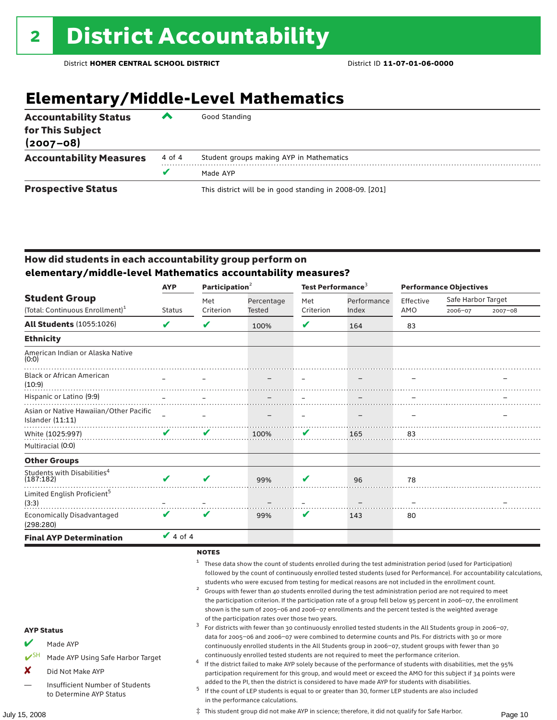# **Elementary/Middle-Level Mathematics**

| <b>Accountability Status</b><br>for This Subject<br>$(2007 - 08)$ | ▰      | Good Standing                                            |
|-------------------------------------------------------------------|--------|----------------------------------------------------------|
| <b>Accountability Measures</b>                                    | 4 of 4 | Student groups making AYP in Mathematics                 |
|                                                                   | v      | Made AYP                                                 |
| <b>Prospective Status</b>                                         |        | This district will be in good standing in 2008-09. [201] |

#### How did students in each accountability group perform on **elementary/middle-level Mathematics accountability measures?**

|                                                              | <b>AYP</b>                 | Participation $2$ |            | Test Performance <sup>3</sup> |             | <b>Performance Objectives</b> |                    |             |
|--------------------------------------------------------------|----------------------------|-------------------|------------|-------------------------------|-------------|-------------------------------|--------------------|-------------|
| <b>Student Group</b>                                         |                            | Met               | Percentage | Met                           | Performance | Effective                     | Safe Harbor Target |             |
| (Total: Continuous Enrollment) <sup>1</sup>                  | <b>Status</b>              | Criterion         | Tested     | Criterion                     | Index       | AMO                           | 2006-07            | $2007 - 08$ |
| <b>All Students (1055:1026)</b>                              | ✔                          | V                 | 100%       | V                             | 164         | 83                            |                    |             |
| <b>Ethnicity</b>                                             |                            |                   |            |                               |             |                               |                    |             |
| American Indian or Alaska Native<br>(0:0)                    |                            |                   |            |                               |             |                               |                    |             |
| <b>Black or African American</b><br>(10:9)                   |                            |                   |            |                               |             |                               |                    |             |
| Hispanic or Latino (9:9)                                     |                            |                   |            |                               |             |                               |                    |             |
| Asian or Native Hawaiian/Other Pacific<br>Islander $(11:11)$ |                            |                   |            |                               |             |                               |                    |             |
| White (1025:997)                                             | $\mathbf{v}$               | V                 | 100%       | V                             | 165         | 83                            |                    |             |
| Multiracial (0:0)                                            |                            |                   |            |                               |             |                               |                    |             |
| <b>Other Groups</b>                                          |                            |                   |            |                               |             |                               |                    |             |
| Students with Disabilities <sup>4</sup><br>(187:182)         | ✔                          | ✔                 | 99%        | v                             | 96          | 78                            |                    |             |
| Limited English Proficient <sup>5</sup><br>(3:3)             |                            |                   |            |                               |             |                               |                    |             |
| <b>Economically Disadvantaged</b><br>(298:280)               | $\boldsymbol{\mathcal{U}}$ | ✔                 | 99%        | V                             | 143         | 80                            |                    |             |
| <b>Final AYP Determination</b>                               | $\vee$ 4 of 4              |                   |            |                               |             |                               |                    |             |

#### **NOTES**

<sup>1</sup> These data show the count of students enrolled during the test administration period (used for Participation) followed by the count of continuously enrolled tested students (used for Performance). For accountability calculations,

- students who were excused from testing for medical reasons are not included in the enrollment count.<br>2 Groups with fewer than 40 students enrolled during the test administration period are not required to meet the participation criterion. If the participation rate of a group fell below 95 percent in 2006–07, the enrollment shown is the sum of 2005–06 and 2006–07 enrollments and the percent tested is the weighted average
- of the participation rates over those two years.<br><sup>3</sup> For districts with fewer than 30 continuously enrolled tested students in the All Students group in 2006–07, data for 2005–06 and 2006–07 were combined to determine counts and PIs. For districts with 30 or more continuously enrolled students in the All Students group in 2006–07, student groups with fewer than 30
- continuously enrolled tested students are not required to meet the performance criterion. <sup>4</sup> If the district failed to make AYP solely because of the performance of students with disabilities, met the 95% participation requirement for this group, and would meet or exceed the AMO for this subject if 34 points were
- added to the PI, then the district is considered to have made AYP for students with disabilities.<br><sup>5</sup> If the count of LEP students is equal to or greater than 30, former LEP students are also included in the performance calculations.

#### AYP Status

- Made AYP
- ✔SH Made AYP Using Safe Harbor Target
- X Did Not Make AYP
- Insufficient Number of Students to Determine AYP Status

July 15, 2008 Page 10 ‡ This student group did not make AYP in science; therefore, it did not qualify for Safe Harbor.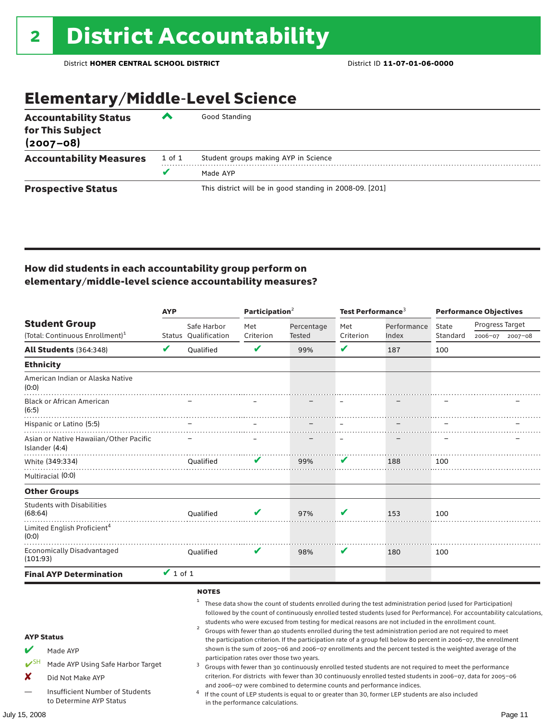# Elementary/Middle-Level Science

| <b>Accountability Status</b><br>for This Subject<br>$(2007 - 08)$ | ‴      | Good Standing                                            |
|-------------------------------------------------------------------|--------|----------------------------------------------------------|
| <b>Accountability Measures</b>                                    | 1 of 1 | Student groups making AYP in Science                     |
|                                                                   |        | Made AYP                                                 |
| <b>Prospective Status</b>                                         |        | This district will be in good standing in 2008-09. [201] |

#### How did students in each accountability group perform on elementary/middle-level science accountability measures?

|                                                                                                                                                        | <b>AYP</b>    |                                                     | Participation <sup>2</sup>                |                                                                        | Test Performance <sup>3</sup> |                                                                                                                                                                                                                                                                                                                                                                                                                                                                                                                                                                                                                                                                                                                                                                                                                                                                                                                                 | <b>Performance Objectives</b> |                 |             |
|--------------------------------------------------------------------------------------------------------------------------------------------------------|---------------|-----------------------------------------------------|-------------------------------------------|------------------------------------------------------------------------|-------------------------------|---------------------------------------------------------------------------------------------------------------------------------------------------------------------------------------------------------------------------------------------------------------------------------------------------------------------------------------------------------------------------------------------------------------------------------------------------------------------------------------------------------------------------------------------------------------------------------------------------------------------------------------------------------------------------------------------------------------------------------------------------------------------------------------------------------------------------------------------------------------------------------------------------------------------------------|-------------------------------|-----------------|-------------|
| <b>Student Group</b><br>(Total: Continuous Enrollment) <sup>1</sup>                                                                                    |               | Safe Harbor                                         | Met                                       | Percentage                                                             | Met                           | Performance                                                                                                                                                                                                                                                                                                                                                                                                                                                                                                                                                                                                                                                                                                                                                                                                                                                                                                                     | State                         | Progress Target |             |
|                                                                                                                                                        |               | Status Oualification                                | Criterion                                 | Tested                                                                 | Criterion                     | Index                                                                                                                                                                                                                                                                                                                                                                                                                                                                                                                                                                                                                                                                                                                                                                                                                                                                                                                           | Standard                      | 2006-07         | $2007 - 08$ |
| <b>All Students (364:348)</b>                                                                                                                          | V             | Oualified                                           | V                                         | 99%                                                                    | V                             | 187                                                                                                                                                                                                                                                                                                                                                                                                                                                                                                                                                                                                                                                                                                                                                                                                                                                                                                                             | 100                           |                 |             |
| <b>Ethnicity</b>                                                                                                                                       |               |                                                     |                                           |                                                                        |                               |                                                                                                                                                                                                                                                                                                                                                                                                                                                                                                                                                                                                                                                                                                                                                                                                                                                                                                                                 |                               |                 |             |
| American Indian or Alaska Native<br>(0:0)                                                                                                              |               |                                                     |                                           |                                                                        |                               |                                                                                                                                                                                                                                                                                                                                                                                                                                                                                                                                                                                                                                                                                                                                                                                                                                                                                                                                 |                               |                 |             |
| <b>Black or African American</b><br>(6:5)                                                                                                              |               |                                                     |                                           |                                                                        |                               |                                                                                                                                                                                                                                                                                                                                                                                                                                                                                                                                                                                                                                                                                                                                                                                                                                                                                                                                 |                               |                 |             |
| Hispanic or Latino (5:5)                                                                                                                               |               |                                                     |                                           |                                                                        |                               |                                                                                                                                                                                                                                                                                                                                                                                                                                                                                                                                                                                                                                                                                                                                                                                                                                                                                                                                 |                               |                 |             |
| Asian or Native Hawaiian/Other Pacific<br>Islander (4:4)                                                                                               |               |                                                     |                                           |                                                                        |                               |                                                                                                                                                                                                                                                                                                                                                                                                                                                                                                                                                                                                                                                                                                                                                                                                                                                                                                                                 |                               |                 |             |
| White (349:334)                                                                                                                                        |               | Oualified                                           |                                           | 99%                                                                    | v                             | 188                                                                                                                                                                                                                                                                                                                                                                                                                                                                                                                                                                                                                                                                                                                                                                                                                                                                                                                             | 100                           |                 |             |
| Multiracial (0:0)                                                                                                                                      |               |                                                     |                                           |                                                                        |                               |                                                                                                                                                                                                                                                                                                                                                                                                                                                                                                                                                                                                                                                                                                                                                                                                                                                                                                                                 |                               |                 |             |
| <b>Other Groups</b>                                                                                                                                    |               |                                                     |                                           |                                                                        |                               |                                                                                                                                                                                                                                                                                                                                                                                                                                                                                                                                                                                                                                                                                                                                                                                                                                                                                                                                 |                               |                 |             |
| <b>Students with Disabilities</b><br>(68:64)                                                                                                           |               | Qualified                                           |                                           | 97%                                                                    |                               | 153                                                                                                                                                                                                                                                                                                                                                                                                                                                                                                                                                                                                                                                                                                                                                                                                                                                                                                                             | 100                           |                 |             |
| Limited English Proficient <sup>4</sup><br>(0:0)                                                                                                       |               |                                                     |                                           |                                                                        |                               |                                                                                                                                                                                                                                                                                                                                                                                                                                                                                                                                                                                                                                                                                                                                                                                                                                                                                                                                 |                               |                 |             |
| <b>Economically Disadvantaged</b><br>(101:93)                                                                                                          |               | Oualified                                           | V                                         | 98%                                                                    | V                             | 180                                                                                                                                                                                                                                                                                                                                                                                                                                                                                                                                                                                                                                                                                                                                                                                                                                                                                                                             | 100                           |                 |             |
| <b>Final AYP Determination</b>                                                                                                                         | $\vee$ 1 of 1 |                                                     |                                           |                                                                        |                               |                                                                                                                                                                                                                                                                                                                                                                                                                                                                                                                                                                                                                                                                                                                                                                                                                                                                                                                                 |                               |                 |             |
| <b>AYP Status</b><br>v<br>Made AYP<br>$V^{\text{SH}}$<br>Made AYP Using Safe Harbor Target<br>X<br>Did Not Make AYP<br>Insufficient Number of Students |               | <b>NOTES</b><br>$\mathbf{1}$<br>$\overline{a}$<br>3 | participation rates over those two years. | and 2006-07 were combined to determine counts and performance indices. |                               | These data show the count of students enrolled during the test administration period (used for Participation)<br>followed by the count of continuously enrolled tested students (used for Performance). For accountability calculations,<br>students who were excused from testing for medical reasons are not included in the enrollment count.<br>Groups with fewer than 40 students enrolled during the test administration period are not required to meet<br>the participation criterion. If the participation rate of a group fell below 80 percent in 2006-07, the enrollment<br>shown is the sum of 2005-06 and 2006-07 enrollments and the percent tested is the weighted average of the<br>Groups with fewer than 30 continuously enrolled tested students are not required to meet the performance<br>criterion. For districts with fewer than 30 continuously enrolled tested students in 2006-07, data for 2005-06 |                               |                 |             |
| to Determine AYP Status                                                                                                                                |               |                                                     | in the performance calculations.          |                                                                        |                               | If the count of LEP students is equal to or greater than 30, former LEP students are also included                                                                                                                                                                                                                                                                                                                                                                                                                                                                                                                                                                                                                                                                                                                                                                                                                              |                               |                 |             |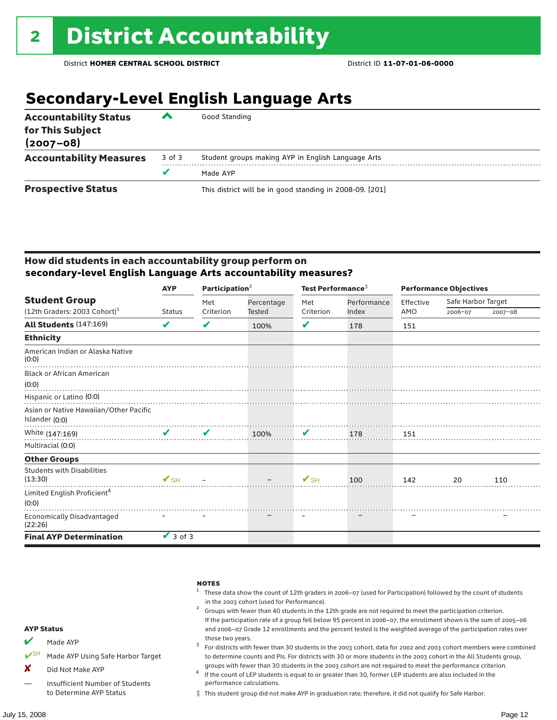# **Secondary-Level English Language Arts**

| <b>Accountability Status</b><br>for This Subject<br>$(2007 - 08)$ | ▰      | Good Standing                                            |
|-------------------------------------------------------------------|--------|----------------------------------------------------------|
| <b>Accountability Measures</b>                                    | 3 of 3 | Student groups making AYP in English Language Arts       |
|                                                                   |        | Made AYP                                                 |
| <b>Prospective Status</b>                                         |        | This district will be in good standing in 2008-09. [201] |

#### How did students in each accountability group perform on **secondary-level English Language Arts accountability measures?**

|                                                  | <b>AYP</b>                    | Participation <sup>2</sup> |            | Test Performance <sup>3</sup> |             | <b>Performance Objectives</b> |                    |             |
|--------------------------------------------------|-------------------------------|----------------------------|------------|-------------------------------|-------------|-------------------------------|--------------------|-------------|
| <b>Student Group</b>                             |                               | Met                        | Percentage | Met                           | Performance | Effective                     | Safe Harbor Target |             |
| $(12th$ Graders: 2003 Cohort) <sup>1</sup>       | <b>Status</b>                 | Criterion                  | Tested     | Criterion                     | Index       | AMO                           | 2006-07            | $2007 - 08$ |
| All Students (147:169)                           | V                             | ✔                          | 100%       | V                             | 178         | 151                           |                    |             |
| <b>Ethnicity</b>                                 |                               |                            |            |                               |             |                               |                    |             |
| American Indian or Alaska Native<br>(0:0)        |                               |                            |            |                               |             |                               |                    |             |
| <b>Black or African American</b>                 |                               |                            |            |                               |             |                               |                    |             |
| (0:0)                                            |                               |                            |            |                               |             |                               |                    |             |
| Hispanic or Latino (0:0)                         |                               |                            |            |                               |             |                               |                    |             |
| Asian or Native Hawaiian/Other Pacific           |                               |                            |            |                               |             |                               |                    |             |
| Islander (0:0)                                   |                               |                            |            |                               |             |                               |                    |             |
| White (147:169)                                  | $\mathbf{v}$ and $\mathbf{v}$ | V                          | 100%       | V                             | 178         | 151                           |                    |             |
| Multiracial (0:0)                                |                               |                            |            |                               |             |                               |                    |             |
| <b>Other Groups</b>                              |                               |                            |            |                               |             |                               |                    |             |
| <b>Students with Disabilities</b><br>(13:30)     | $\mathbf{V}_{\text{SH}}$      |                            |            | $\mathbf{V}_{\text{SH}}$      | 100         | 142                           | 20                 | 110         |
| Limited English Proficient <sup>4</sup><br>(0:0) |                               |                            |            |                               |             |                               |                    |             |
| <b>Economically Disadvantaged</b>                |                               |                            |            |                               |             |                               |                    |             |
| (22:26)                                          |                               |                            |            |                               |             |                               |                    |             |
| <b>Final AYP Determination</b>                   | $\vee$ 3 of 3                 |                            |            |                               |             |                               |                    |             |



‡ This student group did not make AYP in graduation rate; therefore, it did not qualify for Safe Harbor.

to Determine AYP Status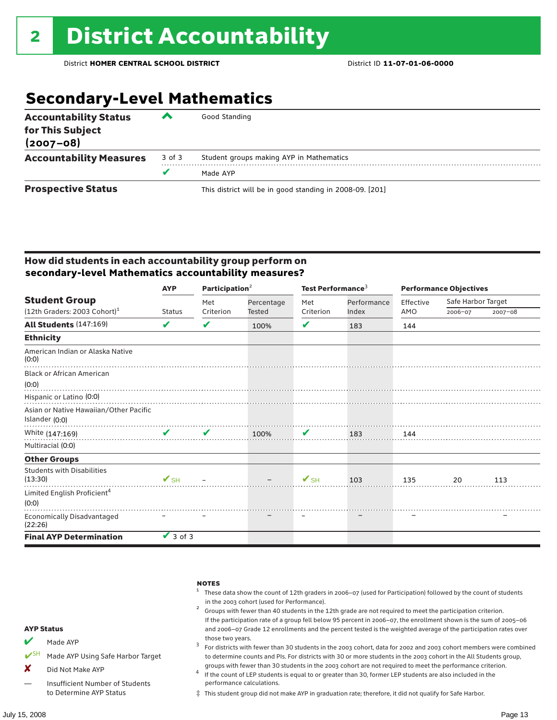# **Secondary-Level Mathematics**

| <b>Accountability Status</b><br>for This Subject<br>$(2007 - 08)$ | $\overline{\phantom{a}}$ | Good Standing                                            |
|-------------------------------------------------------------------|--------------------------|----------------------------------------------------------|
| <b>Accountability Measures</b>                                    | 3 of 3                   | Student groups making AYP in Mathematics                 |
|                                                                   | v                        | Made AYP                                                 |
| <b>Prospective Status</b>                                         |                          | This district will be in good standing in 2008-09. [201] |

#### How did students in each accountability group perform on **secondary-level Mathematics accountability measures?**

|                                              | <b>AYP</b>                    | Participation <sup>2</sup> |            | Test Performance <sup>3</sup> |             | <b>Performance Objectives</b> |                    |             |
|----------------------------------------------|-------------------------------|----------------------------|------------|-------------------------------|-------------|-------------------------------|--------------------|-------------|
| <b>Student Group</b>                         |                               | Met                        | Percentage | Met                           | Performance | Effective                     | Safe Harbor Target |             |
| $(12th$ Graders: 2003 Cohort) <sup>1</sup>   | <b>Status</b>                 | Criterion                  | Tested     | Criterion                     | Index       | AMO                           | 2006-07            | $2007 - 08$ |
| All Students (147:169)                       | V                             | V                          | 100%       | V                             | 183         | 144                           |                    |             |
| <b>Ethnicity</b>                             |                               |                            |            |                               |             |                               |                    |             |
| American Indian or Alaska Native<br>(0:0)    |                               |                            |            |                               |             |                               |                    |             |
| <b>Black or African American</b>             |                               |                            |            |                               |             |                               |                    |             |
| (0:0)                                        |                               |                            |            |                               |             |                               |                    |             |
| Hispanic or Latino (0:0)                     |                               |                            |            |                               |             |                               |                    |             |
| Asian or Native Hawaiian/Other Pacific       |                               |                            |            |                               |             |                               |                    |             |
| Islander (0:0)                               |                               |                            |            |                               |             |                               |                    |             |
| White (147:169)                              | $\mathbf{v}$ and $\mathbf{v}$ | V                          | 100%       | V                             | 183         | 144                           |                    |             |
| Multiracial (0:0)                            |                               |                            |            |                               |             |                               |                    |             |
| <b>Other Groups</b>                          |                               |                            |            |                               |             |                               |                    |             |
| <b>Students with Disabilities</b><br>(13:30) | $\mathbf{V}$ SH $-$           |                            |            | $V$ SH                        | 103         | 135                           | 20                 | 113         |
| Limited English Proficient <sup>4</sup>      |                               |                            |            |                               |             |                               |                    |             |
| (0:0)                                        |                               |                            |            |                               |             |                               |                    |             |
| <b>Economically Disadvantaged</b><br>(22:26) |                               |                            |            |                               |             |                               |                    |             |
| <b>Final AYP Determination</b>               | $\vee$ 3 of 3                 |                            |            |                               |             |                               |                    |             |



‡ This student group did not make AYP in graduation rate; therefore, it did not qualify for Safe Harbor.

to Determine AYP Status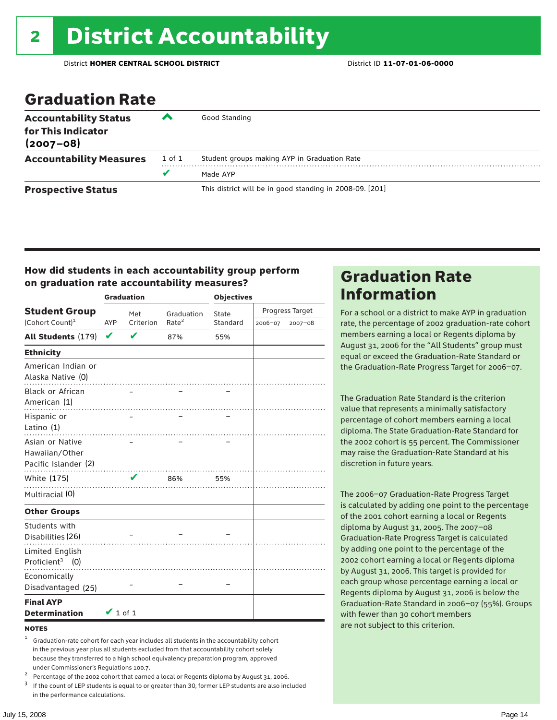# Graduation Rate

| <b>Accountability Status</b><br>for This Indicator<br>$(2007 - 08)$ | ‴      | Good Standing                                            |
|---------------------------------------------------------------------|--------|----------------------------------------------------------|
| <b>Accountability Measures</b>                                      | 1 of 1 | Student groups making AYP in Graduation Rate             |
|                                                                     | v      | Made AYP                                                 |
| <b>Prospective Status</b>                                           |        | This district will be in good standing in 2008-09. [201] |

#### How did students in each accountability group perform on graduation rate accountability measures?

|                                                           |               | <b>Graduation</b> |                   | <b>Objectives</b> |         |                 |  |
|-----------------------------------------------------------|---------------|-------------------|-------------------|-------------------|---------|-----------------|--|
| <b>Student Group</b>                                      |               | Met               | Graduation        | State             |         | Progress Target |  |
| (Cohort Count) <sup>1</sup>                               | AYP           | Criterion         | Rate <sup>2</sup> | Standard          | 2006-07 | 2007-08         |  |
| <b>All Students (179)</b>                                 | V             | V                 | 87%               | 55%               |         |                 |  |
| <b>Ethnicity</b>                                          |               |                   |                   |                   |         |                 |  |
| American Indian or<br>Alaska Native (0)                   |               |                   |                   |                   |         |                 |  |
| <b>Black or African</b><br>American (1)                   |               |                   |                   |                   |         |                 |  |
| Hispanic or<br>Latino (1)                                 |               |                   |                   |                   |         |                 |  |
| Asian or Native<br>Hawaiian/Other<br>Pacific Islander (2) |               |                   |                   |                   |         |                 |  |
| White (175)                                               |               | V                 | 86%               | 55%               |         |                 |  |
| Multiracial (0)                                           |               |                   | .                 |                   |         |                 |  |
| <b>Other Groups</b>                                       |               |                   |                   |                   |         |                 |  |
| Students with<br>Disabilities (26)                        |               |                   |                   |                   |         |                 |  |
| Limited English<br>Proficient <sup>3</sup> (0)            |               |                   |                   |                   |         |                 |  |
| Economically<br>Disadvantaged (25)                        |               |                   |                   |                   |         |                 |  |
| <b>Final AYP</b><br><b>Determination</b>                  | $\vee$ 1 of 1 |                   |                   |                   |         |                 |  |

#### **NOTES**

- <sup>1</sup> Graduation-rate cohort for each year includes all students in the accountability cohort in the previous year plus all students excluded from that accountability cohort solely because they transferred to a high school equivalency preparation program, approved
- 
- under Commissioner's Regulations 100.7.<br>
Percentage of the 2002 cohort that earned a local or Regents diploma by August 31, 2006.<br>
<sup>3</sup> If the count of LEP students is equal to or greater than 30, former LEP students are a in the performance calculations.

## Graduation Rate Information

For a school or a district to make AYP in graduation rate, the percentage of 2002 graduation-rate cohort members earning a local or Regents diploma by August 31, 2006 for the "All Students" group must equal or exceed the Graduation-Rate Standard or the Graduation-Rate Progress Target for 2006–07.

The Graduation Rate Standard is the criterion value that represents a minimally satisfactory percentage of cohort members earning a local diploma. The State Graduation-Rate Standard for the 2002 cohort is 55 percent. The Commissioner may raise the Graduation-Rate Standard at his discretion in future years.

The 2006–07 Graduation-Rate Progress Target is calculated by adding one point to the percentage of the 2001 cohort earning a local or Regents diploma by August 31, 2005. The 2007–08 Graduation-Rate Progress Target is calculated by adding one point to the percentage of the 2002 cohort earning a local or Regents diploma by August 31, 2006. This target is provided for each group whose percentage earning a local or Regents diploma by August 31, 2006 is below the Graduation-Rate Standard in 2006–07 (55%). Groups with fewer than 30 cohort members are not subject to this criterion.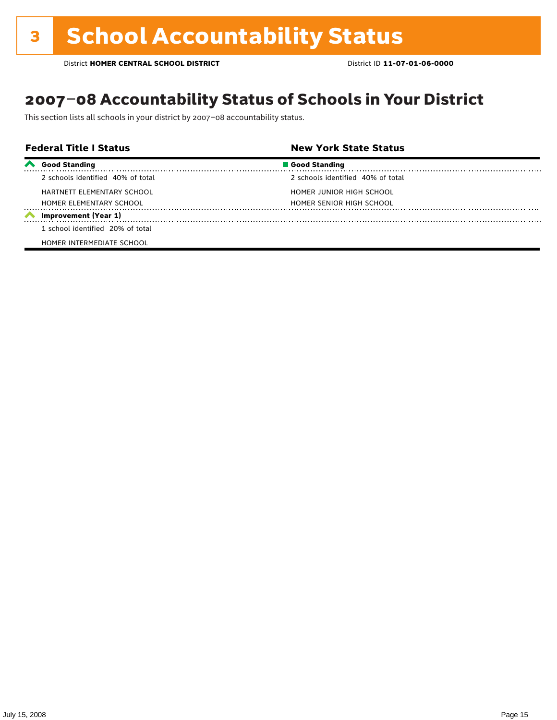## 2007–08 Accountability Status of Schools in Your District

This section lists all schools in your district by 2007–08 accountability status.

|                     | <b>Federal Title I Status</b>     | <b>New York State Status</b>      |  |
|---------------------|-----------------------------------|-----------------------------------|--|
| $\boldsymbol{\sim}$ | <b>Good Standing</b>              | Good Standing                     |  |
|                     | 2 schools identified 40% of total | 2 schools identified 40% of total |  |
|                     | HARTNETT ELEMENTARY SCHOOL        | HOMER JUNIOR HIGH SCHOOL          |  |
|                     | HOMER ELEMENTARY SCHOOL           | HOMER SENIOR HIGH SCHOOL          |  |
|                     | Improvement (Year 1)              |                                   |  |
|                     | 1 school identified 20% of total  |                                   |  |
|                     | HOMER INTERMEDIATE SCHOOL         |                                   |  |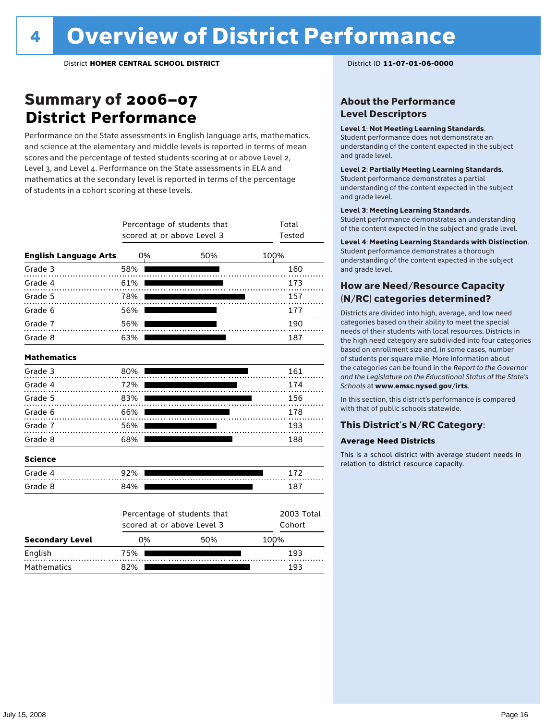## Summary of 2006–07 **District Performance**

Performance on the State assessments in English language arts, mathematics, and science at the elementary and middle levels is reported in terms of mean scores and the percentage of tested students scoring at or above Level 2, Level 3, and Level 4. Performance on the State assessments in ELA and mathematics at the secondary level is reported in terms of the percentage of students in a cohort scoring at these levels.

|                              |     | Percentage of students that<br>scored at or above Level 3 |     | Total<br>Tested      |  |  |
|------------------------------|-----|-----------------------------------------------------------|-----|----------------------|--|--|
| <b>English Language Arts</b> |     | 0%                                                        | 50% | 100%                 |  |  |
| Grade 3                      | 58% |                                                           |     | 160                  |  |  |
| Grade 4                      | 61% |                                                           |     | 173                  |  |  |
| Grade 5                      | 78% |                                                           |     | 157                  |  |  |
| Grade 6                      | 56% |                                                           |     | 177                  |  |  |
| Grade 7                      | 56% |                                                           |     | 190                  |  |  |
| Grade 8                      | 63% |                                                           |     | 187                  |  |  |
| <b>Mathematics</b>           |     |                                                           |     |                      |  |  |
| Grade 3                      | 80% |                                                           |     | 161                  |  |  |
| Grade 4                      | 72% |                                                           |     | 174                  |  |  |
| Grade 5                      | 83% |                                                           |     | 156                  |  |  |
| Grade 6                      | 66% |                                                           |     | 178                  |  |  |
| Grade 7                      | 56% |                                                           |     | 193                  |  |  |
| Grade 8                      | 68% |                                                           |     | 188                  |  |  |
| <b>Science</b>               |     |                                                           |     |                      |  |  |
| Grade 4                      | 92% |                                                           |     | 172                  |  |  |
| Grade 8                      | 84% |                                                           |     | 187                  |  |  |
|                              |     | Percentage of students that<br>scored at or above Level 3 |     | 2003 Total<br>Cohort |  |  |
| <b>Secondary Level</b>       |     | 0%                                                        | 50% | 100%                 |  |  |

English 75% 193 Mathematics 82% **193 193** 

#### About the Performance Level Descriptors

#### Level 1: Not Meeting Learning Standards.

Student performance does not demonstrate an understanding of the content expected in the subject and grade level.

#### Level 2: Partially Meeting Learning Standards.

Student performance demonstrates a partial understanding of the content expected in the subject and grade level.

#### Level 3: Meeting Learning Standards.

Student performance demonstrates an understanding of the content expected in the subject and grade level.

#### Level 4: Meeting Learning Standards with Distinction.

Student performance demonstrates a thorough understanding of the content expected in the subject and grade level.

#### How are Need/Resource Capacity (N/RC) categories determined?

Districts are divided into high, average, and low need categories based on their ability to meet the special needs of their students with local resources. Districts in the high need category are subdivided into four categories based on enrollment size and, in some cases, number of students per square mile. More information about the categories can be found in the *Report to the Governor and the Legislature on the Educational Status of the State's Schools* at www.emsc.nysed.gov/irts.

In this section, this district's performance is compared with that of public schools statewide.

#### This District's N/RC Category:

#### **Average Need Districts**

This is a school district with average student needs in relation to district resource capacity.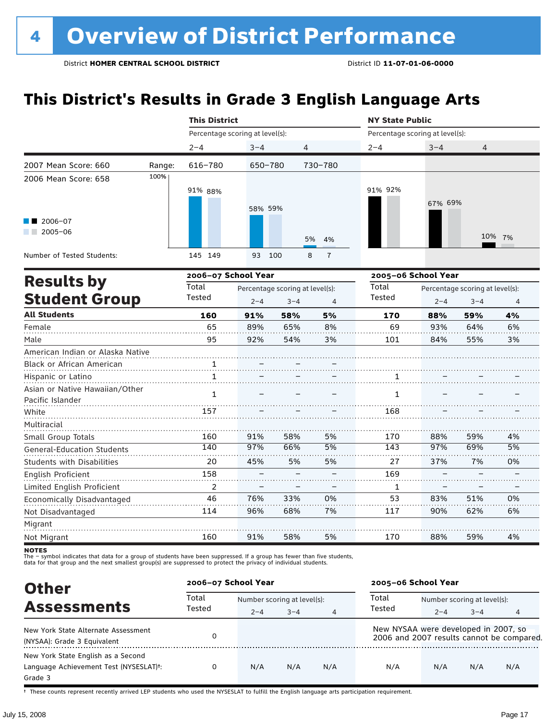# **This District's Results in Grade 3 English Language Arts**

|                                         |        | <b>This District</b>            |         |                                 |                     | <b>NY State Public</b>          |                                 |                |        |  |
|-----------------------------------------|--------|---------------------------------|---------|---------------------------------|---------------------|---------------------------------|---------------------------------|----------------|--------|--|
|                                         |        | Percentage scoring at level(s): |         |                                 |                     | Percentage scoring at level(s): |                                 |                |        |  |
|                                         |        | $2 - 4$                         | $3 - 4$ | $\overline{4}$                  |                     | $2 - 4$                         | $3 - 4$                         | $\overline{4}$ |        |  |
| 2007 Mean Score: 660                    | Range: | 616-780                         | 650-780 |                                 | 730-780             |                                 |                                 |                |        |  |
| 2006 Mean Score: 658                    | 100%   |                                 |         |                                 |                     |                                 |                                 |                |        |  |
|                                         |        | 91% 88%                         |         |                                 |                     | 91% 92%                         |                                 |                |        |  |
|                                         |        |                                 | 58% 59% |                                 |                     |                                 | 67% 69%                         |                |        |  |
| 2006-07                                 |        |                                 |         |                                 |                     |                                 |                                 |                |        |  |
| $2005 - 06$<br><b>Contract Contract</b> |        |                                 |         |                                 | 5%                  |                                 |                                 |                | 10% 7% |  |
|                                         |        |                                 |         |                                 | 4%                  |                                 |                                 |                |        |  |
| Number of Tested Students:              |        | 145 149                         | 93      | 100                             | 8<br>$\overline{1}$ |                                 |                                 |                |        |  |
|                                         |        | 2006-07 School Year             |         |                                 |                     | 2005-06 School Year             |                                 |                |        |  |
| <b>Results by</b>                       |        | Total                           |         | Percentage scoring at level(s): |                     |                                 | Percentage scoring at level(s): |                |        |  |
| <b>Student Group</b>                    |        | Tested                          | $2 - 4$ | $3 - 4$                         | $\overline{4}$      | Tested                          | $2 - 4$                         | $3 - 4$        | 4      |  |
| <b>All Students</b>                     |        | 160                             | 91%     | 58%                             | 5%                  | 170                             | 88%                             | 59%            | 4%     |  |
| Female                                  |        | 65                              | 89%     | 65%                             | 8%                  | 69                              | 93%                             | 64%            | 6%     |  |
| Male                                    |        | 95                              | 92%     | 54%                             | 3%                  | 101                             | 84%                             | 55%            | 3%     |  |
| American Indian or Alaska Native        |        |                                 |         |                                 |                     |                                 |                                 |                |        |  |
| Black or African American               |        | $\mathbf{1}$ .                  |         |                                 |                     |                                 |                                 |                |        |  |
| Hispanic or Latino                      |        | $\mathbf{1}$                    |         |                                 |                     | 1                               |                                 |                |        |  |
| Asian or Native Hawaiian/Other          |        | $\mathbf{1}$                    |         |                                 |                     | $\mathbf{1}$                    |                                 |                |        |  |
| Pacific Islander                        |        |                                 |         |                                 |                     |                                 |                                 |                |        |  |
| White                                   |        | 157                             |         |                                 |                     | 168                             |                                 |                |        |  |
| Multiracial                             |        |                                 |         |                                 |                     |                                 |                                 |                |        |  |
| Small Group Totals                      |        | 160                             | 91%     | 58%                             | 5%                  | 170                             | 88%                             | 59%            | 4%     |  |
| <b>General-Education Students</b>       |        | 140                             | 97%     | 66%                             | 5%                  | 143                             | 97%                             | 69%            | 5%     |  |
| <b>Students with Disabilities</b>       |        | 20                              | 45%     | 5%                              | 5%                  | 27                              | 37%                             | 7%             | 0%     |  |
| English Proficient                      |        | 158                             |         |                                 |                     | 169                             |                                 |                |        |  |
| Limited English Proficient              |        | 2                               |         |                                 |                     | 1                               |                                 |                |        |  |
| Economically Disadvantaged              |        | 46                              | 76%     | 33%                             | 0%                  | 53                              | 83%                             | 51%            | 0%     |  |
| Not Disadvantaged                       |        | 114                             | 96%     | 68%                             | 7%                  | 117                             | 90%                             | 62%            | 6%     |  |
| Migrant                                 |        |                                 |         |                                 |                     |                                 |                                 |                |        |  |
| Not Migrant                             |        | 160                             | 91%     | 58%                             | 5%                  | 170                             | 88%                             | 59%            | 4%     |  |

**NOTES** 

The – symbol indicates that data for a group of students have been suppressed. If a group has fewer than five students,<br>data for that group and the next smallest group(s) are suppressed to protect the privacy of individual

| <b>Other</b>                                        |                 | 2006-07 School Year |                             |                | 2005-06 School Year                  |                             |         |                                           |  |
|-----------------------------------------------------|-----------------|---------------------|-----------------------------|----------------|--------------------------------------|-----------------------------|---------|-------------------------------------------|--|
| <b>Assessments</b>                                  | Total<br>Tested |                     | Number scoring at level(s): |                |                                      | Number scoring at level(s): |         |                                           |  |
|                                                     |                 | $2 - 4$             | $3 - 4$                     | $\overline{4}$ | Tested                               | $2 - 4$                     | $3 - 4$ | 4                                         |  |
| New York State Alternate Assessment                 |                 |                     |                             |                | New NYSAA were developed in 2007, so |                             |         |                                           |  |
| (NYSAA): Grade 3 Equivalent                         |                 |                     |                             |                |                                      |                             |         | 2006 and 2007 results cannot be compared. |  |
| New York State English as a Second                  |                 |                     |                             |                |                                      |                             |         |                                           |  |
| Language Achievement Test (NYSESLAT) <sup>+</sup> : |                 | N/A                 | N/A                         | N/A            | N/A                                  | N/A                         | N/A     | N/A                                       |  |
| Grade 3                                             |                 |                     |                             |                |                                      |                             |         |                                           |  |

† These counts represent recently arrived LEP students who used the NYSESLAT to fulfill the English language arts participation requirement.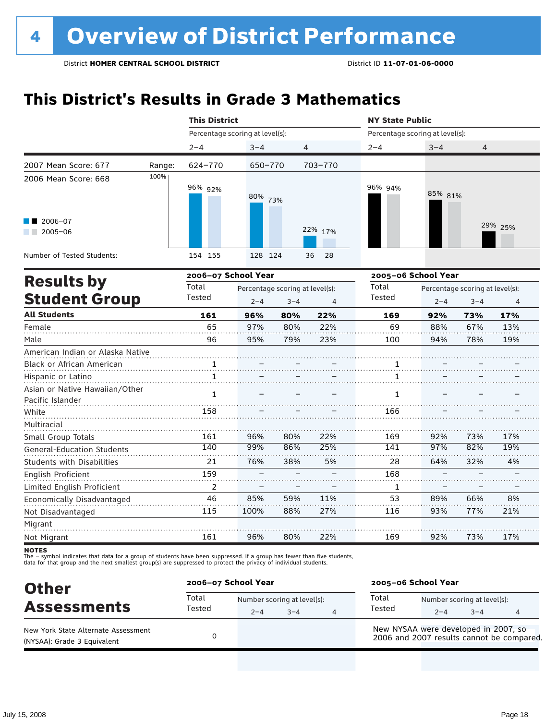# **This District's Results in Grade 3 Mathematics**

|                                                    |        | <b>This District</b>            |         |         |                                      | <b>NY State Public</b>          |                                            |                |         |  |  |
|----------------------------------------------------|--------|---------------------------------|---------|---------|--------------------------------------|---------------------------------|--------------------------------------------|----------------|---------|--|--|
|                                                    |        | Percentage scoring at level(s): |         |         |                                      | Percentage scoring at level(s): |                                            |                |         |  |  |
|                                                    |        | $2 - 4$                         | $3 - 4$ |         | 4                                    | $2 - 4$                         | $3 - 4$                                    | 4              |         |  |  |
| 2007 Mean Score: 677                               | Range: | 624-770                         | 650-770 |         | 703-770                              |                                 |                                            |                |         |  |  |
| 2006 Mean Score: 668                               | 100%   | 96% 92%                         | 80% 73% |         |                                      | 96% 94%                         | 85% 81%                                    |                |         |  |  |
| 2006-07<br>$2005 - 06$                             |        |                                 |         |         | 22% 17%                              |                                 |                                            |                | 29% 25% |  |  |
| Number of Tested Students:                         |        | 154 155                         | 128 124 |         | 36<br>28                             |                                 |                                            |                |         |  |  |
|                                                    |        | 2006-07 School Year             |         |         |                                      |                                 | 2005-06 School Year                        |                |         |  |  |
| <b>Results by</b><br><b>Student Group</b>          |        | Total<br>Tested                 | $2 - 4$ | $3 - 4$ | Percentage scoring at level(s):<br>4 | Total<br>Tested                 | Percentage scoring at level(s):<br>$2 - 4$ | $\overline{4}$ |         |  |  |
| <b>All Students</b>                                |        | 161                             | 96%     | 80%     | 22%                                  | 169                             | 92%                                        | 73%            | 17%     |  |  |
| Female                                             |        | 65                              | 97%     | 80%     | 22%                                  | 69                              | 88%                                        | 67%            | 13%     |  |  |
| Male                                               |        | 96                              | 95%     | 79%     | 23%                                  | 100                             | 94%                                        | 78%            | 19%     |  |  |
| American Indian or Alaska Native                   |        |                                 |         |         |                                      |                                 |                                            |                |         |  |  |
| Black or African American                          |        | 1                               |         |         |                                      | 1                               |                                            |                |         |  |  |
| Hispanic or Latino                                 |        | $\mathbf{1}$                    |         |         |                                      | 1                               |                                            |                |         |  |  |
| Asian or Native Hawaiian/Other<br>Pacific Islander |        | $\mathbf{1}$                    |         |         |                                      | $\mathbf{1}$                    |                                            |                |         |  |  |
| White                                              |        | 158                             |         |         |                                      | 166                             |                                            |                |         |  |  |
| Multiracial                                        |        |                                 |         |         |                                      |                                 |                                            |                |         |  |  |
| Small Group Totals                                 |        | 161                             | 96%     | 80%     | 22%                                  | 169                             | 92%                                        | 73%            | 17%     |  |  |
| <b>General-Education Students</b>                  |        | 140                             | 99%     | 86%     | 25%                                  | 141                             | 97%                                        | 82%            | 19%     |  |  |
| <b>Students with Disabilities</b>                  |        | 21                              | 76%     | 38%     | 5%                                   | 28                              | 64%                                        | 32%            | 4%      |  |  |
| <b>English Proficient</b>                          |        | 159                             |         |         |                                      | 168                             |                                            |                |         |  |  |
| Limited English Proficient                         |        | 2                               |         |         |                                      | 1                               |                                            |                |         |  |  |
| Economically Disadvantaged                         |        | 46                              | 85%     | 59%     | 11%                                  | 53                              | 89%                                        | 66%            | 8%      |  |  |
| Not Disadvantaged                                  |        | 115                             | 100%    | 88%     | 27%                                  | 116                             | 93%                                        | 77%            | 21%     |  |  |
| Migrant                                            |        |                                 |         |         |                                      |                                 |                                            |                |         |  |  |
| Not Migrant                                        |        | 161                             | 96%     | 80%     | 22%                                  | 169                             | 92%                                        | 73%            | 17%     |  |  |

**NOTES** 

| <b>Other</b>                                                       | 2006-07 School Year |                                        |         | 2005-06 School Year                                                               |                                        |         |   |  |
|--------------------------------------------------------------------|---------------------|----------------------------------------|---------|-----------------------------------------------------------------------------------|----------------------------------------|---------|---|--|
| <b>Assessments</b>                                                 | Total<br>Tested     | Number scoring at level(s):<br>$2 - 4$ | $3 - 4$ | Total<br>Tested                                                                   | Number scoring at level(s):<br>$2 - 4$ | $3 - 4$ | 4 |  |
| New York State Alternate Assessment<br>(NYSAA): Grade 3 Equivalent |                     |                                        |         | New NYSAA were developed in 2007, so<br>2006 and 2007 results cannot be compared. |                                        |         |   |  |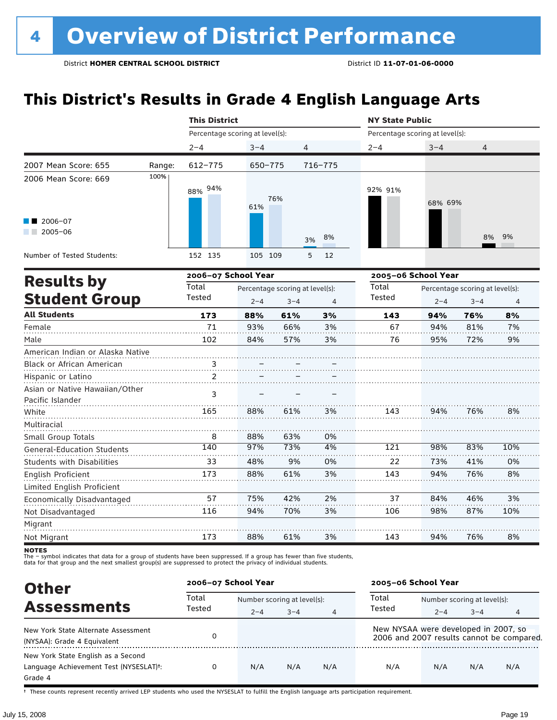# **This District's Results in Grade 4 English Language Arts**

|                                                    |                                          |                                 | <b>This District</b> |                                 |         |                                 | <b>NY State Public</b> |                                 |     |  |  |
|----------------------------------------------------|------------------------------------------|---------------------------------|----------------------|---------------------------------|---------|---------------------------------|------------------------|---------------------------------|-----|--|--|
|                                                    |                                          | Percentage scoring at level(s): |                      |                                 |         | Percentage scoring at level(s): |                        |                                 |     |  |  |
|                                                    |                                          | $2 - 4$                         | $3 - 4$              | 4                               |         | $2 - 4$                         | $3 - 4$                | 4                               |     |  |  |
| 2007 Mean Score: 655                               | Range:                                   | 612-775                         | 650-775              |                                 | 716-775 |                                 |                        |                                 |     |  |  |
| 2006 Mean Score: 669                               | 100%                                     | 88% 94%                         | 61%                  | 76%                             |         | 92% 91%                         | 68% 69%                |                                 |     |  |  |
| 2006-07<br>$\sqrt{2005-06}$                        |                                          |                                 |                      | 3%                              | 8%      |                                 |                        | 8%                              | 9%  |  |  |
| Number of Tested Students:                         |                                          | 152 135                         | 105 109              |                                 | 5<br>12 |                                 |                        |                                 |     |  |  |
|                                                    | 2006-07 School Year<br><b>Results by</b> |                                 |                      |                                 |         | 2005-06 School Year             |                        |                                 |     |  |  |
|                                                    |                                          | Total                           |                      | Percentage scoring at level(s): |         | Total                           |                        | Percentage scoring at level(s): |     |  |  |
| <b>Student Group</b>                               |                                          | Tested                          | $2 - 4$              | $3 - 4$                         | 4       | Tested                          | $2 - 4$                | $3 - 4$                         | 4   |  |  |
| <b>All Students</b>                                |                                          | 173                             | 88%                  | 61%                             | 3%      | 143                             | 94%                    | 76%                             | 8%  |  |  |
| Female                                             |                                          | 71                              | 93%                  | 66%                             | 3%      | 67                              | 94%                    | 81%                             | 7%  |  |  |
| Male                                               |                                          | 102                             | 84%                  | 57%                             | 3%      | 76                              | 95%                    | 72%                             | 9%  |  |  |
| American Indian or Alaska Native                   |                                          |                                 |                      |                                 |         |                                 |                        |                                 |     |  |  |
| Black or African American                          |                                          | $\frac{3}{2}$                   |                      |                                 |         |                                 |                        |                                 |     |  |  |
| Hispanic or Latino                                 |                                          | 2                               |                      |                                 |         |                                 |                        |                                 |     |  |  |
| Asian or Native Hawaiian/Other<br>Pacific Islander |                                          | 3                               |                      |                                 |         |                                 |                        |                                 |     |  |  |
| White                                              |                                          | 165                             | 88%                  | 61%                             | 3%      | 143                             | 94%                    | 76%                             | 8%  |  |  |
| Multiracial                                        |                                          |                                 |                      |                                 |         |                                 |                        |                                 |     |  |  |
| Small Group Totals                                 |                                          | 8                               | 88%                  | 63%                             | 0%      |                                 |                        |                                 |     |  |  |
| <b>General-Education Students</b>                  |                                          | 140                             | 97%                  | 73%                             | 4%      | 121                             | 98%                    | 83%                             | 10% |  |  |
| <b>Students with Disabilities</b>                  |                                          | 33                              | 48%                  | 9%                              | 0%      | 22                              | 73%                    | 41%                             | 0%  |  |  |
| English Proficient                                 |                                          | 173                             | 88%                  | 61%                             | 3%      | 143                             | 94%                    | 76%                             | 8%  |  |  |
| Limited English Proficient                         |                                          |                                 |                      |                                 |         |                                 |                        |                                 |     |  |  |
| Economically Disadvantaged                         |                                          | 57                              | 75%                  | 42%                             | 2%      | 37                              | 84%                    | 46%                             | 3%  |  |  |
| Not Disadvantaged                                  |                                          | 116                             | 94%                  | 70%                             | 3%      | 106                             | 98%                    | 87%                             | 10% |  |  |
| Migrant                                            |                                          |                                 |                      |                                 |         |                                 |                        |                                 |     |  |  |
| Not Migrant                                        |                                          | 173                             | 88%                  | 61%                             | 3%      | 143                             | 94%                    | 76%                             | 8%  |  |  |

**NOTES** 

The – symbol indicates that data for a group of students have been suppressed. If a group has fewer than five students,<br>data for that group and the next smallest group(s) are suppressed to protect the privacy of individual

| <b>Other</b>                                                                            | 2006-07 School Year |         |                             |     | 2005-06 School Year                  |                             |         |                                           |  |
|-----------------------------------------------------------------------------------------|---------------------|---------|-----------------------------|-----|--------------------------------------|-----------------------------|---------|-------------------------------------------|--|
| <b>Assessments</b>                                                                      | Total<br>Tested     |         | Number scoring at level(s): |     |                                      | Number scoring at level(s): |         |                                           |  |
|                                                                                         |                     | $2 - 4$ | $3 - 4$                     | 4   | Tested                               | $2 - 4$                     | $3 - 4$ | 4                                         |  |
| New York State Alternate Assessment<br>(NYSAA): Grade 4 Equivalent                      |                     |         |                             |     | New NYSAA were developed in 2007, so |                             |         | 2006 and 2007 results cannot be compared. |  |
| New York State English as a Second<br>Language Achievement Test (NYSESLAT)t:<br>Grade 4 |                     | N/A     | N/A                         | N/A | N/A                                  | N/A                         | N/A     | N/A                                       |  |

† These counts represent recently arrived LEP students who used the NYSESLAT to fulfill the English language arts participation requirement.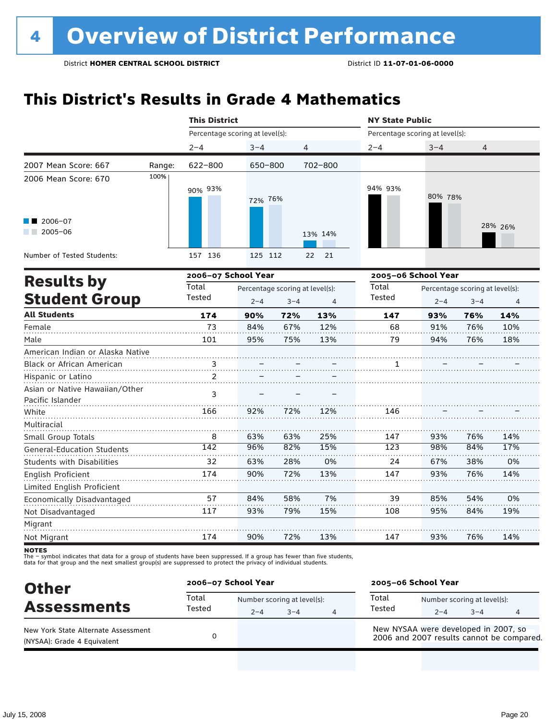# **This District's Results in Grade 4 Mathematics**

|                                                  |        | <b>This District</b>            |                                 |         |                | <b>NY State Public</b>          |         |                                 |         |
|--------------------------------------------------|--------|---------------------------------|---------------------------------|---------|----------------|---------------------------------|---------|---------------------------------|---------|
|                                                  |        | Percentage scoring at level(s): |                                 |         |                | Percentage scoring at level(s): |         |                                 |         |
|                                                  |        | $2 - 4$                         | $3 - 4$                         | 4       |                | $2 - 4$                         | $3 - 4$ | 4                               |         |
| 2007 Mean Score: 667                             | Range: | 622-800                         | 650-800                         |         | 702-800        |                                 |         |                                 |         |
| 2006 Mean Score: 670                             | 100%   | 90% 93%                         |                                 |         |                | 94% 93%                         |         |                                 |         |
|                                                  |        |                                 | 72% 76%                         |         |                |                                 | 80% 78% |                                 |         |
| $\blacksquare$ 2006-07                           |        |                                 |                                 |         |                |                                 |         |                                 |         |
| $2005 - 06$<br>a sa ba                           |        |                                 |                                 |         | 13% 14%        |                                 |         |                                 | 28% 26% |
| Number of Tested Students:                       |        | 157 136                         | 125 112                         |         | 22<br>21       |                                 |         |                                 |         |
|                                                  |        | 2006-07 School Year             |                                 |         |                | 2005-06 School Year             |         |                                 |         |
| <b>Results by</b>                                |        | Total                           | Percentage scoring at level(s): |         |                | Total                           |         | Percentage scoring at level(s): |         |
| <b>Student Group</b>                             |        | Tested                          | $2 - 4$                         | $3 - 4$ | $\overline{4}$ | Tested                          | $2 - 4$ | $3 - 4$                         | 4       |
| <b>All Students</b>                              |        | 174                             | 90%                             | 72%     | 13%            | 147                             | 93%     | 76%                             | 14%     |
| Female                                           |        | 73                              | 84%                             | 67%     | 12%            | 68                              | 91%     | 76%                             | 10%     |
| Male                                             |        | 101                             | 95%                             | 75%     | 13%            | 79                              | 94%     | 76%                             | 18%     |
| American Indian or Alaska Native                 |        |                                 |                                 |         |                |                                 |         |                                 |         |
| <b>Black or African American</b>                 |        | $\frac{3}{2}$                   |                                 |         |                | 1                               |         |                                 |         |
| Hispanic or Latino                               |        | $\overline{2}$                  |                                 |         |                |                                 |         |                                 |         |
| Asian or Native Hawaiian/Other                   |        | 3                               |                                 |         |                |                                 |         |                                 |         |
| Pacific Islander                                 |        |                                 |                                 |         |                |                                 |         |                                 |         |
| White                                            |        | 166                             | 92%                             | 72%     | 12%            | 146                             |         |                                 |         |
| Multiracial                                      |        |                                 |                                 |         |                |                                 |         |                                 |         |
| Small Group Totals                               |        | 8                               | 63%                             | 63%     | 25%            | 147                             | 93%     | 76%                             | 14%     |
| <b>General-Education Students</b>                |        | $\overline{142}$                | 96%                             | 82%     | 15%            | 123                             | 98%     | 84%                             | 17%     |
| Students with Disabilities                       |        | 32                              | 63%                             | 28%     | 0%             | 24                              | 67%     | 38%                             | 0%      |
| English Proficient<br>Limited English Proficient |        | 174                             | 90%                             | 72%     | 13%            | 147                             | 93%     | 76%                             | 14%     |
| Economically Disadvantaged                       |        | 57                              | 84%                             | 58%     | 7%             | 39                              | 85%     | 54%                             | 0%      |
| Not Disadvantaged                                |        | 117                             | 93%                             | 79%     | 15%            | 108                             | 95%     | 84%                             | 19%     |
| Migrant                                          |        |                                 |                                 |         |                |                                 |         |                                 |         |
| Not Migrant                                      |        | 174                             | 90%                             | 72%     | 13%            | 147                             | 93%     | 76%                             | 14%     |

**NOTES** 

| <b>Other</b>                                                       | 2006-07 School Year |                                        |         | 2005-06 School Year |                                                                                   |         |   |  |
|--------------------------------------------------------------------|---------------------|----------------------------------------|---------|---------------------|-----------------------------------------------------------------------------------|---------|---|--|
| <b>Assessments</b>                                                 | Total<br>Tested     | Number scoring at level(s):<br>$2 - 4$ | $3 - 4$ | Total<br>Tested     | Number scoring at level(s):<br>$2 - 4$                                            | $3 - 4$ | 4 |  |
| New York State Alternate Assessment<br>(NYSAA): Grade 4 Equivalent |                     |                                        |         |                     | New NYSAA were developed in 2007, so<br>2006 and 2007 results cannot be compared. |         |   |  |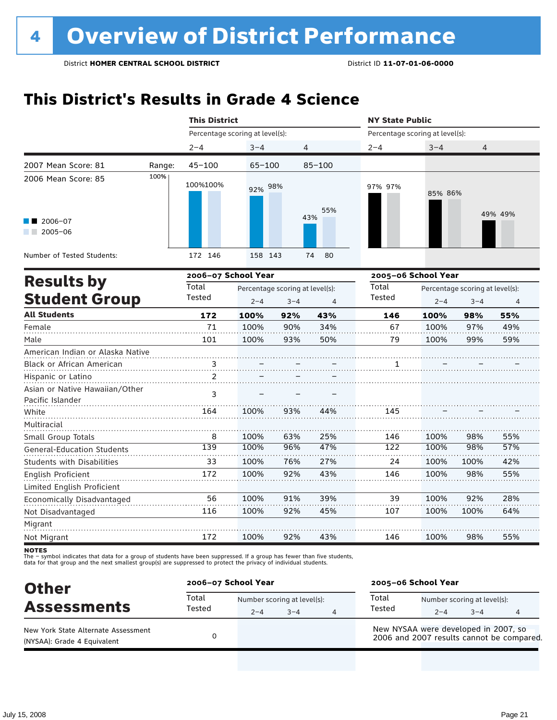# **This District's Results in Grade 4 Science**

|                                                      |        | <b>This District</b>            |                                 |         |            | <b>NY State Public</b>          |                                 |         |         |  |
|------------------------------------------------------|--------|---------------------------------|---------------------------------|---------|------------|---------------------------------|---------------------------------|---------|---------|--|
|                                                      |        | Percentage scoring at level(s): |                                 |         |            | Percentage scoring at level(s): |                                 |         |         |  |
|                                                      |        | $2 - 4$                         | $3 - 4$                         |         | 4          | $2 - 4$                         | $3 - 4$                         | 4       |         |  |
| 2007 Mean Score: 81                                  | Range: | $45 - 100$                      | $65 - 100$                      |         | $85 - 100$ |                                 |                                 |         |         |  |
| 2006 Mean Score: 85                                  | 100%   | 100%100%                        | 92% 98%                         |         | 55%        | 97% 97%                         | 85% 86%                         |         |         |  |
| $\blacksquare$ 2006-07<br>$2005 - 06$<br>a kacamatan |        |                                 |                                 |         | 43%        |                                 |                                 |         | 49% 49% |  |
| Number of Tested Students:                           |        | 172 146                         | 158 143                         |         | 80<br>74   |                                 |                                 |         |         |  |
| <b>Results by</b>                                    |        | 2006-07 School Year             |                                 |         |            | 2005-06 School Year             |                                 |         |         |  |
|                                                      |        | Total                           | Percentage scoring at level(s): |         |            | Total                           | Percentage scoring at level(s): |         |         |  |
| <b>Student Group</b>                                 |        | Tested                          | $2 - 4$                         | $3 - 4$ | 4          | Tested                          | $2 - 4$                         | $3 - 4$ | 4       |  |
| <b>All Students</b>                                  |        | 172                             | 100%                            | 92%     | 43%        | 146                             | 100%                            | 98%     | 55%     |  |
| Female                                               |        | 71                              | 100%                            | 90%     | 34%        | 67                              | 100%                            | 97%     | 49%     |  |
| Male                                                 |        | 101                             | 100%                            | 93%     | 50%        | 79                              | 100%                            | 99%     | 59%     |  |
| American Indian or Alaska Native                     |        |                                 |                                 |         |            |                                 |                                 |         |         |  |
| Black or African American                            |        | 3                               |                                 |         |            | 1                               |                                 |         |         |  |
| Hispanic or Latino                                   |        | $\mathcal{P}$                   |                                 |         |            |                                 |                                 |         |         |  |
| Asian or Native Hawaiian/Other<br>Pacific Islander   |        | 3                               |                                 |         |            |                                 |                                 |         |         |  |
| White                                                |        | 164                             | 100%                            | 93%     | 44%        | 145                             |                                 |         |         |  |
| Multiracial                                          |        |                                 |                                 |         |            |                                 |                                 |         |         |  |
| Small Group Totals                                   |        | 8                               | 100%                            | 63%     | 25%        | 146                             | 100%                            | 98%     | 55%     |  |
| <b>General-Education Students</b>                    |        | 139                             | 100%                            | 96%     | 47%        | 122                             | 100%                            | 98%     | 57%     |  |
| <b>Students with Disabilities</b>                    |        | 33                              | 100%                            | 76%     | 27%        | 24                              | 100%                            | 100%    | 42%     |  |
| English Proficient                                   |        | 172                             | 100%                            | 92%     | 43%        | 146                             | 100%                            | 98%     | 55%     |  |
| Limited English Proficient                           |        |                                 |                                 |         |            |                                 |                                 |         |         |  |
| Economically Disadvantaged                           |        | 56                              | 100%                            | 91%     | 39%        | 39                              | 100%                            | 92%     | 28%     |  |
| Not Disadvantaged                                    |        | 116                             | 100%                            | 92%     | 45%        | 107                             | 100%                            | 100%    | 64%     |  |
| Migrant                                              |        |                                 |                                 |         |            |                                 |                                 |         |         |  |
| Not Migrant                                          |        | 172                             | 100%                            | 92%     | 43%        | 146                             | 100%                            | 98%     | 55%     |  |

**NOTES** 

| <b>Other</b>                                                       | 2006-07 School Year |         |                                        |   | 2005-06 School Year |                                      |                                        |                                           |  |
|--------------------------------------------------------------------|---------------------|---------|----------------------------------------|---|---------------------|--------------------------------------|----------------------------------------|-------------------------------------------|--|
| <b>Assessments</b>                                                 | Total<br>Tested     | $2 - 4$ | Number scoring at level(s):<br>$3 - 4$ | 4 | Total<br>Tested     | $2 - 4$                              | Number scoring at level(s):<br>$3 - 4$ | 4                                         |  |
| New York State Alternate Assessment<br>(NYSAA): Grade 4 Equivalent |                     |         |                                        |   |                     | New NYSAA were developed in 2007, so |                                        | 2006 and 2007 results cannot be compared. |  |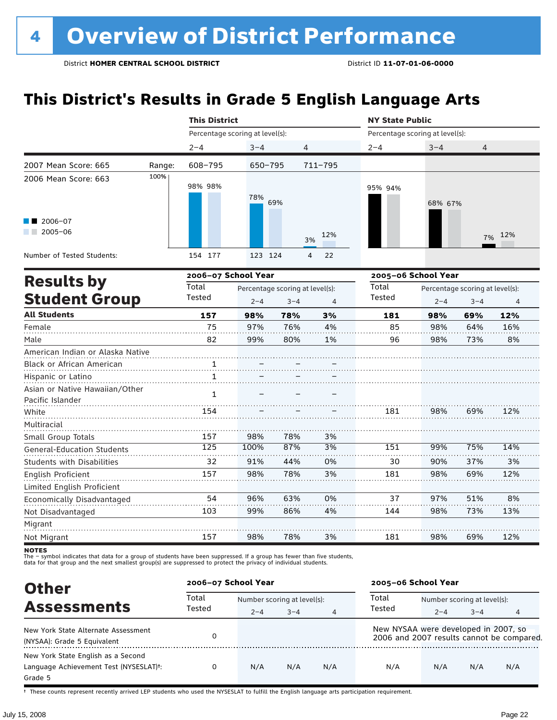# **This District's Results in Grade 5 English Language Arts**

|                                                    |        | <b>This District</b>            |                                                       |     |             | <b>NY State Public</b>          |                     |                                            |     |
|----------------------------------------------------|--------|---------------------------------|-------------------------------------------------------|-----|-------------|---------------------------------|---------------------|--------------------------------------------|-----|
|                                                    |        | Percentage scoring at level(s): |                                                       |     |             | Percentage scoring at level(s): |                     |                                            |     |
|                                                    |        | $2 - 4$                         | $3 - 4$                                               |     | 4           | $2 - 4$                         | $3 - 4$             | 4                                          |     |
| 2007 Mean Score: 665                               | Range: | 608-795                         | 650-795                                               |     | $711 - 795$ |                                 |                     |                                            |     |
| 2006 Mean Score: 663                               | 100%   | 98% 98%                         | 78%                                                   | 69% |             | 95% 94%                         | 68% 67%             |                                            |     |
| 2006-07<br>2005-06<br>a sa Bala                    |        |                                 |                                                       |     | 12%<br>3%   |                                 |                     | 7%                                         | 12% |
| Number of Tested Students:                         |        | 154 177                         | 123 124                                               |     | 22<br>4     |                                 |                     |                                            |     |
| <b>Results by</b>                                  |        | 2006-07 School Year             |                                                       |     |             |                                 | 2005-06 School Year |                                            |     |
| <b>Student Group</b>                               |        | Total<br>Tested                 | Percentage scoring at level(s):<br>$2 - 4$<br>$3 - 4$ |     | 4           | Total<br><b>Tested</b>          | $2 - 4$             | Percentage scoring at level(s):<br>$3 - 4$ | 4   |
| <b>All Students</b>                                |        | 157                             | 98%                                                   | 78% | 3%          | 181                             | 98%                 | 69%                                        | 12% |
| Female                                             |        | 75                              | 97%                                                   | 76% | 4%          | 85                              | 98%                 | 64%                                        | 16% |
| Male                                               |        | 82                              | 99%                                                   | 80% | 1%          | 96                              | 98%                 | 73%                                        | 8%  |
| American Indian or Alaska Native                   |        |                                 |                                                       |     |             |                                 |                     |                                            |     |
| Black or African American                          |        | 1                               |                                                       |     |             |                                 |                     |                                            |     |
| Hispanic or Latino                                 |        | $\mathbf{1}$                    |                                                       |     |             |                                 |                     |                                            |     |
| Asian or Native Hawaiian/Other<br>Pacific Islander |        | $\mathbf{1}$                    |                                                       |     |             |                                 |                     |                                            |     |
| White                                              |        | 154                             |                                                       |     |             | 181                             | 98%                 | 69%                                        | 12% |
| Multiracial                                        |        |                                 |                                                       |     |             |                                 |                     |                                            |     |
| Small Group Totals                                 |        | 157                             | 98%                                                   | 78% | 3%          |                                 |                     |                                            |     |
| <b>General-Education Students</b>                  |        | 125                             | 100%                                                  | 87% | 3%          | 151                             | 99%                 | 75%                                        | 14% |
| <b>Students with Disabilities</b>                  |        | 32                              | 91%                                                   | 44% | 0%          | 30                              | 90%                 | 37%                                        | 3%  |
| <b>English Proficient</b>                          |        | 157                             | 98%                                                   | 78% | 3%          | 181                             | 98%                 | 69%                                        | 12% |
| Limited English Proficient                         |        |                                 |                                                       |     |             |                                 |                     |                                            |     |
| Economically Disadvantaged                         |        | 54                              | 96%                                                   | 63% | 0%          | 37                              | 97%                 | 51%                                        | 8%  |
| Not Disadvantaged                                  |        | 103                             | 99%                                                   | 86% | 4%          | 144                             | 98%                 | 73%                                        | 13% |
| Migrant                                            |        |                                 |                                                       |     |             |                                 |                     |                                            |     |
| Not Migrant                                        |        | 157                             | 98%                                                   | 78% | 3%          | 181                             | 98%                 | 69%                                        | 12% |

**NOTES** 

The – symbol indicates that data for a group of students have been suppressed. If a group has fewer than five students,<br>data for that group and the next smallest group(s) are suppressed to protect the privacy of individual

| <b>Other</b>                                                                                         | 2006-07 School Year |                             |         |     | 2005-06 School Year                  |                             |         |                                           |
|------------------------------------------------------------------------------------------------------|---------------------|-----------------------------|---------|-----|--------------------------------------|-----------------------------|---------|-------------------------------------------|
| <b>Assessments</b>                                                                                   | Total<br>Tested     | Number scoring at level(s): |         |     | Total                                | Number scoring at level(s): |         |                                           |
|                                                                                                      |                     | $2 - 4$                     | $3 - 4$ | 4   | Tested                               | $2 - 4$                     | $3 - 4$ | 4                                         |
| New York State Alternate Assessment<br>(NYSAA): Grade 5 Equivalent                                   |                     |                             |         |     | New NYSAA were developed in 2007, so |                             |         | 2006 and 2007 results cannot be compared. |
| New York State English as a Second<br>Language Achievement Test (NYSESLAT) <sup>+</sup> :<br>Grade 5 |                     | N/A                         | N/A     | N/A | N/A                                  | N/A                         | N/A     | N/A                                       |

† These counts represent recently arrived LEP students who used the NYSESLAT to fulfill the English language arts participation requirement.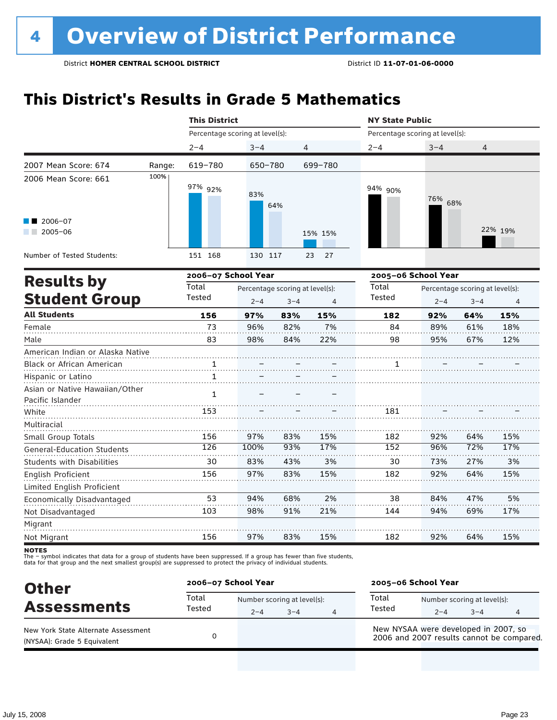# **This District's Results in Grade 5 Mathematics**

|                                                                          |        | <b>This District</b>            |                                                                         |     |          | <b>NY State Public</b>          |                     |                                            |                |  |  |
|--------------------------------------------------------------------------|--------|---------------------------------|-------------------------------------------------------------------------|-----|----------|---------------------------------|---------------------|--------------------------------------------|----------------|--|--|
|                                                                          |        | Percentage scoring at level(s): |                                                                         |     |          | Percentage scoring at level(s): |                     |                                            |                |  |  |
|                                                                          |        | $2 - 4$                         | $3 - 4$                                                                 |     | 4        | $2 - 4$                         | $3 - 4$             | 4                                          |                |  |  |
| 2007 Mean Score: 674                                                     | Range: | 619-780                         | 650-780                                                                 |     | 699-780  |                                 |                     |                                            |                |  |  |
| 2006 Mean Score: 661                                                     | 100%   | 97% 92%                         | 83%                                                                     | 64% |          | 94% 90%                         | 76% 68%             |                                            |                |  |  |
| 2006-07<br>$2005 - 06$                                                   |        |                                 |                                                                         |     | 15% 15%  |                                 |                     |                                            | 22% 19%        |  |  |
| Number of Tested Students:                                               |        | 151 168                         | 130 117                                                                 |     | 23<br>27 |                                 |                     |                                            |                |  |  |
|                                                                          |        | 2006-07 School Year             |                                                                         |     |          |                                 | 2005-06 School Year |                                            |                |  |  |
| <b>Results by</b><br><b>Student Group</b>                                |        | Total<br>Tested                 | Percentage scoring at level(s):<br>$2 - 4$<br>$3 - 4$<br>$\overline{4}$ |     |          | Total<br>Tested                 | $2 - 4$             | Percentage scoring at level(s):<br>$3 - 4$ | $\overline{4}$ |  |  |
| <b>All Students</b>                                                      |        | 156                             | 97%                                                                     | 83% | 15%      | 182                             | 92%                 | 64%                                        | 15%            |  |  |
| Female                                                                   |        | 73                              | 96%                                                                     | 82% | 7%       | 84                              | 89%                 | 61%                                        | 18%            |  |  |
| Male                                                                     |        | 83                              | 98%                                                                     | 84% | 22%      | 98                              | 95%                 | 67%                                        | 12%            |  |  |
| American Indian or Alaska Native                                         |        |                                 |                                                                         |     |          |                                 |                     |                                            |                |  |  |
| Black or African American                                                |        | 1                               |                                                                         |     |          |                                 |                     |                                            |                |  |  |
| Hispanic or Latino<br>Asian or Native Hawaiian/Other<br>Pacific Islander |        | $\mathbf{1}$<br>$\mathbf{1}$    |                                                                         |     |          |                                 |                     |                                            |                |  |  |
| White                                                                    |        | 153                             |                                                                         |     |          | 181                             |                     |                                            |                |  |  |
| Multiracial                                                              |        |                                 |                                                                         |     |          |                                 |                     |                                            |                |  |  |
| Small Group Totals                                                       |        | 156                             | 97%                                                                     | 83% | 15%      | 182                             | 92%                 | 64%                                        | 15%            |  |  |
| <b>General-Education Students</b>                                        |        | 126                             | 100%                                                                    | 93% | 17%      | 152                             | 96%                 | 72%                                        | 17%            |  |  |
| <b>Students with Disabilities</b>                                        |        | 30                              | 83%                                                                     | 43% | 3%       | 30                              | 73%                 | 27%                                        | 3%             |  |  |
| English Proficient                                                       |        | 156                             | 97%                                                                     | 83% | 15%      | 182                             | 92%                 | 64%                                        | 15%            |  |  |
| Limited English Proficient                                               |        |                                 |                                                                         |     |          |                                 |                     |                                            |                |  |  |
| Economically Disadvantaged                                               |        | 53                              | 94%                                                                     | 68% | 2%       | 38                              | 84%                 | 47%                                        | 5%             |  |  |
| Not Disadvantaged                                                        |        | 103                             | 98%                                                                     | 91% | 21%      | 144                             | 94%                 | 69%                                        | 17%            |  |  |
| Migrant                                                                  |        |                                 |                                                                         |     |          |                                 |                     |                                            |                |  |  |
| Not Migrant                                                              |        | 156                             | 97%                                                                     | 83% | 15%      | 182                             | 92%                 | 64%                                        | 15%            |  |  |

**NOTES** 

| <b>Other</b>                                                       |                 | 2006-07 School Year |                                        |   |                                      | 2005-06 School Year |                                        |                                           |  |  |
|--------------------------------------------------------------------|-----------------|---------------------|----------------------------------------|---|--------------------------------------|---------------------|----------------------------------------|-------------------------------------------|--|--|
| <b>Assessments</b>                                                 | Total<br>Tested | $2 - 4$             | Number scoring at level(s):<br>$3 - 4$ | 4 | Total<br>Tested                      | $2 - 4$             | Number scoring at level(s):<br>$3 - 4$ | 4                                         |  |  |
| New York State Alternate Assessment<br>(NYSAA): Grade 5 Equivalent |                 |                     |                                        |   | New NYSAA were developed in 2007, so |                     |                                        | 2006 and 2007 results cannot be compared. |  |  |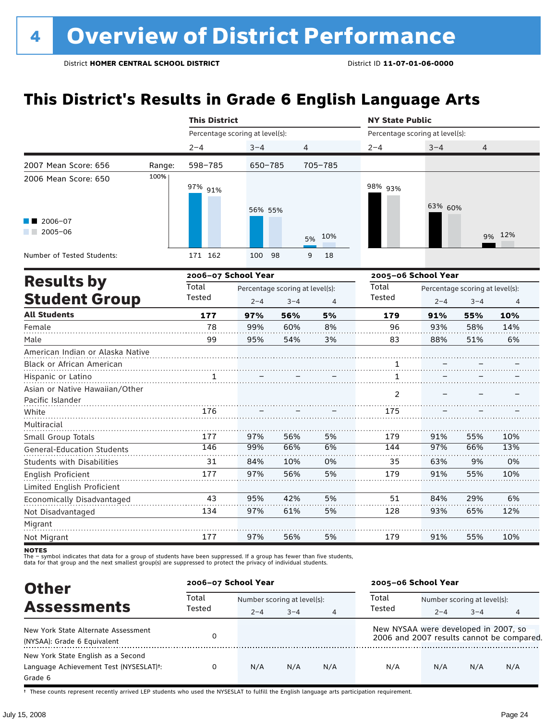# **This District's Results in Grade 6 English Language Arts**

|                                                    |        | <b>This District</b><br><b>NY State Public</b><br>Percentage scoring at level(s):<br>Percentage scoring at level(s):<br>$2 - 4$<br>$3 - 4$<br>4<br>$2 - 4$<br>$3 - 4$<br>705-785<br>598-785<br>$650 - 785$<br>98% 93%<br>97% 91%<br>63% 60%<br>56% 55%<br>10%<br>5%<br>171 162<br>100<br>98<br>9<br>18<br>2006-07 School Year<br>2005-06 School Year<br>Total<br>Total<br>Percentage scoring at level(s):<br>Percentage scoring at level(s):<br>Tested<br>Tested<br>$2 - 4$<br>$2 - 4$<br>$3 - 4$<br>$3 - 4$<br>4<br>177<br>97%<br>56%<br>5%<br>179<br>91%<br>55%<br>78<br>60%<br>8%<br>96<br>93%<br>58%<br>99%<br>99<br>3%<br>83<br>88%<br>51%<br>95%<br>54%<br>1<br>1<br>1<br>2<br>176<br>175<br>97%<br>56%<br>5%<br>91%<br>177<br>179<br>55%<br>97%<br>146<br>99%<br>66%<br>6%<br>144<br>66%<br>31<br>84%<br>10%<br>0%<br>35<br>63%<br>9% |     |     |    |     |     |                |        |
|----------------------------------------------------|--------|----------------------------------------------------------------------------------------------------------------------------------------------------------------------------------------------------------------------------------------------------------------------------------------------------------------------------------------------------------------------------------------------------------------------------------------------------------------------------------------------------------------------------------------------------------------------------------------------------------------------------------------------------------------------------------------------------------------------------------------------------------------------------------------------------------------------------------------------|-----|-----|----|-----|-----|----------------|--------|
|                                                    |        |                                                                                                                                                                                                                                                                                                                                                                                                                                                                                                                                                                                                                                                                                                                                                                                                                                              |     |     |    |     |     | $\overline{4}$ |        |
| 2007 Mean Score: 656                               | Range: |                                                                                                                                                                                                                                                                                                                                                                                                                                                                                                                                                                                                                                                                                                                                                                                                                                              |     |     |    |     |     |                |        |
| 2006 Mean Score: 650                               | 100%   |                                                                                                                                                                                                                                                                                                                                                                                                                                                                                                                                                                                                                                                                                                                                                                                                                                              |     |     |    |     |     |                |        |
| 2006-07<br>$\sqrt{2005-06}$                        |        |                                                                                                                                                                                                                                                                                                                                                                                                                                                                                                                                                                                                                                                                                                                                                                                                                                              |     |     |    |     |     |                | 9% 12% |
| Number of Tested Students:                         |        |                                                                                                                                                                                                                                                                                                                                                                                                                                                                                                                                                                                                                                                                                                                                                                                                                                              |     |     |    |     |     |                |        |
| <b>Results by</b>                                  |        |                                                                                                                                                                                                                                                                                                                                                                                                                                                                                                                                                                                                                                                                                                                                                                                                                                              |     |     |    |     |     |                |        |
| <b>Student Group</b>                               |        |                                                                                                                                                                                                                                                                                                                                                                                                                                                                                                                                                                                                                                                                                                                                                                                                                                              |     |     |    |     |     |                | 4      |
| <b>All Students</b>                                |        |                                                                                                                                                                                                                                                                                                                                                                                                                                                                                                                                                                                                                                                                                                                                                                                                                                              |     |     |    |     |     |                | 10%    |
| Female                                             |        |                                                                                                                                                                                                                                                                                                                                                                                                                                                                                                                                                                                                                                                                                                                                                                                                                                              |     |     |    |     |     |                | 14%    |
| Male                                               |        |                                                                                                                                                                                                                                                                                                                                                                                                                                                                                                                                                                                                                                                                                                                                                                                                                                              |     |     |    |     |     |                | 6%     |
| American Indian or Alaska Native                   |        |                                                                                                                                                                                                                                                                                                                                                                                                                                                                                                                                                                                                                                                                                                                                                                                                                                              |     |     |    |     |     |                |        |
| Black or African American                          |        |                                                                                                                                                                                                                                                                                                                                                                                                                                                                                                                                                                                                                                                                                                                                                                                                                                              |     |     |    |     |     |                |        |
| Hispanic or Latino                                 |        |                                                                                                                                                                                                                                                                                                                                                                                                                                                                                                                                                                                                                                                                                                                                                                                                                                              |     |     |    |     |     |                |        |
| Asian or Native Hawaiian/Other<br>Pacific Islander |        |                                                                                                                                                                                                                                                                                                                                                                                                                                                                                                                                                                                                                                                                                                                                                                                                                                              |     |     |    |     |     |                |        |
| White                                              |        |                                                                                                                                                                                                                                                                                                                                                                                                                                                                                                                                                                                                                                                                                                                                                                                                                                              |     |     |    |     |     |                |        |
| Multiracial                                        |        |                                                                                                                                                                                                                                                                                                                                                                                                                                                                                                                                                                                                                                                                                                                                                                                                                                              |     |     |    |     |     |                |        |
| Small Group Totals                                 |        |                                                                                                                                                                                                                                                                                                                                                                                                                                                                                                                                                                                                                                                                                                                                                                                                                                              |     |     |    |     |     |                | 10%    |
| <b>General-Education Students</b>                  |        |                                                                                                                                                                                                                                                                                                                                                                                                                                                                                                                                                                                                                                                                                                                                                                                                                                              |     |     |    |     |     |                | 13%    |
| <b>Students with Disabilities</b>                  |        |                                                                                                                                                                                                                                                                                                                                                                                                                                                                                                                                                                                                                                                                                                                                                                                                                                              |     |     |    |     |     |                | 0%     |
| English Proficient                                 |        | 177                                                                                                                                                                                                                                                                                                                                                                                                                                                                                                                                                                                                                                                                                                                                                                                                                                          | 97% | 56% | 5% | 179 | 91% | 55%            | 10%    |
| Limited English Proficient                         |        |                                                                                                                                                                                                                                                                                                                                                                                                                                                                                                                                                                                                                                                                                                                                                                                                                                              |     |     |    |     |     |                |        |
| Economically Disadvantaged                         |        | 43                                                                                                                                                                                                                                                                                                                                                                                                                                                                                                                                                                                                                                                                                                                                                                                                                                           | 95% | 42% | 5% | 51  | 84% | 29%            | 6%     |
| Not Disadvantaged                                  |        | 134                                                                                                                                                                                                                                                                                                                                                                                                                                                                                                                                                                                                                                                                                                                                                                                                                                          | 97% | 61% | 5% | 128 | 93% | 65%            | 12%    |
| Migrant                                            |        |                                                                                                                                                                                                                                                                                                                                                                                                                                                                                                                                                                                                                                                                                                                                                                                                                                              |     |     |    |     |     |                |        |
| Not Migrant                                        |        | 177                                                                                                                                                                                                                                                                                                                                                                                                                                                                                                                                                                                                                                                                                                                                                                                                                                          | 97% | 56% | 5% | 179 | 91% | 55%            | 10%    |

notes

The – symbol indicates that data for a group of students have been suppressed. If a group has fewer than five students,<br>data for that group and the next smallest group(s) are suppressed to protect the privacy of individual

| <b>Other</b>                                        | 2006-07 School Year |                             |         |                | 2005-06 School Year                  |                             |         |                                           |  |
|-----------------------------------------------------|---------------------|-----------------------------|---------|----------------|--------------------------------------|-----------------------------|---------|-------------------------------------------|--|
|                                                     | Total               | Number scoring at level(s): |         |                | Total                                | Number scoring at level(s): |         |                                           |  |
| <b>Assessments</b>                                  | Tested              | $2 - 4$                     | $3 - 4$ | $\overline{4}$ | Tested                               | $2 - 4$                     | $3 - 4$ | 4                                         |  |
| New York State Alternate Assessment                 |                     |                             |         |                | New NYSAA were developed in 2007, so |                             |         |                                           |  |
| (NYSAA): Grade 6 Equivalent                         |                     |                             |         |                |                                      |                             |         | 2006 and 2007 results cannot be compared. |  |
| New York State English as a Second                  |                     |                             |         |                |                                      |                             |         |                                           |  |
| Language Achievement Test (NYSESLAT) <sup>+</sup> : | 0                   | N/A                         | N/A     | N/A            | N/A                                  | N/A                         | N/A     | N/A                                       |  |
| Grade 6                                             |                     |                             |         |                |                                      |                             |         |                                           |  |

† These counts represent recently arrived LEP students who used the NYSESLAT to fulfill the English language arts participation requirement.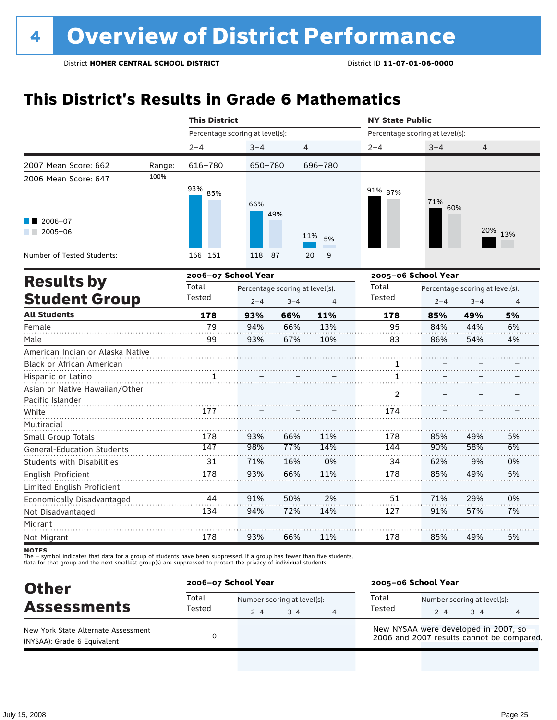# **This District's Results in Grade 6 Mathematics**

|                                   |        | <b>This District</b>            |                                 |         |                | <b>NY State Public</b>          |            |                                 |                |  |
|-----------------------------------|--------|---------------------------------|---------------------------------|---------|----------------|---------------------------------|------------|---------------------------------|----------------|--|
|                                   |        | Percentage scoring at level(s): |                                 |         |                | Percentage scoring at level(s): |            |                                 |                |  |
|                                   |        | $2 - 4$                         | $3 - 4$                         | 4       |                | $2 - 4$                         | $3 - 4$    | 4                               |                |  |
| 2007 Mean Score: 662              | Range: | 616-780                         | 650-780                         |         | 696-780        |                                 |            |                                 |                |  |
| 2006 Mean Score: 647              | 100%   |                                 |                                 |         |                |                                 |            |                                 |                |  |
|                                   |        | 93% 85%                         |                                 |         |                | 91% 87%                         |            |                                 |                |  |
|                                   |        |                                 | 66%                             |         |                |                                 | 71%<br>60% |                                 |                |  |
| 2006-07                           |        |                                 |                                 | 49%     |                |                                 |            |                                 |                |  |
| $2005 - 06$                       |        |                                 |                                 |         |                |                                 |            |                                 | 20% 13%        |  |
|                                   |        |                                 |                                 |         | 11%<br>5%      |                                 |            |                                 |                |  |
| Number of Tested Students:        |        | 166 151                         | 118 87                          |         | 9<br>20        |                                 |            |                                 |                |  |
|                                   |        | 2006-07 School Year             |                                 |         |                | 2005-06 School Year             |            |                                 |                |  |
| <b>Results by</b>                 |        | Total                           | Percentage scoring at level(s): |         |                | Total                           |            | Percentage scoring at level(s): |                |  |
| <b>Student Group</b>              |        | Tested                          | $2 - 4$                         | $3 - 4$ | $\overline{4}$ | Tested                          | $2 - 4$    | $3 - 4$                         | $\overline{4}$ |  |
| <b>All Students</b>               |        | 178                             | 93%                             | 66%     | 11%            | 178                             | 85%        | 49%                             | 5%             |  |
| Female                            |        | 79                              | 94%                             | 66%     | 13%            | 95                              | 84%        | 44%                             | 6%             |  |
| Male                              |        | 99                              | 93%                             | 67%     | 10%            | 83                              | 86%        | 54%                             | 4%             |  |
| American Indian or Alaska Native  |        |                                 |                                 |         |                |                                 |            |                                 |                |  |
| <b>Black or African American</b>  |        |                                 |                                 |         |                | 1                               |            |                                 |                |  |
| Hispanic or Latino                |        |                                 |                                 |         |                | 1                               |            |                                 |                |  |
| Asian or Native Hawaiian/Other    |        |                                 |                                 |         |                | 2                               |            |                                 |                |  |
| Pacific Islander                  |        |                                 |                                 |         |                |                                 |            |                                 |                |  |
| White                             |        | 177                             |                                 |         |                | 174                             |            |                                 |                |  |
| Multiracial                       |        |                                 |                                 |         |                |                                 |            |                                 |                |  |
| Small Group Totals                |        | 178                             | 93%                             | 66%     | 11%            | 178                             | 85%        | 49%                             | 5%             |  |
| <b>General-Education Students</b> |        | 147                             | 98%                             | 77%     | 14%            | 144                             | 90%        | 58%                             | 6%             |  |
| <b>Students with Disabilities</b> |        | 31                              | 71%                             | 16%     | 0%             | 34                              | 62%        | 9%                              | 0%             |  |
| English Proficient                |        | 178                             | 93%                             | 66%     | 11%            | 178                             | 85%        | 49%                             | 5%             |  |
| Limited English Proficient        |        |                                 |                                 |         |                |                                 |            |                                 |                |  |
| Economically Disadvantaged        |        | 44                              | 91%                             | 50%     | 2%             | 51                              | 71%        | 29%                             | 0%             |  |
| Not Disadvantaged                 |        | 134                             | 94%                             | 72%     | 14%            | 127                             | 91%        | 57%                             | 7%             |  |
| Migrant                           |        |                                 |                                 |         |                |                                 |            |                                 |                |  |
| Not Migrant                       |        | 178                             | 93%                             | 66%     | 11%            | 178                             | 85%        | 49%                             | 5%             |  |

**NOTES** 

| <b>Other</b>                                                       | 2006-07 School Year |                                        |         |  | 2005-06 School Year                                                               |         |                                        |   |  |
|--------------------------------------------------------------------|---------------------|----------------------------------------|---------|--|-----------------------------------------------------------------------------------|---------|----------------------------------------|---|--|
| <b>Assessments</b>                                                 | Total<br>Tested     | Number scoring at level(s):<br>$2 - 4$ | $3 - 4$ |  | Total<br>Tested                                                                   | $2 - 4$ | Number scoring at level(s):<br>$3 - 4$ | 4 |  |
| New York State Alternate Assessment<br>(NYSAA): Grade 6 Equivalent |                     |                                        |         |  | New NYSAA were developed in 2007, so<br>2006 and 2007 results cannot be compared. |         |                                        |   |  |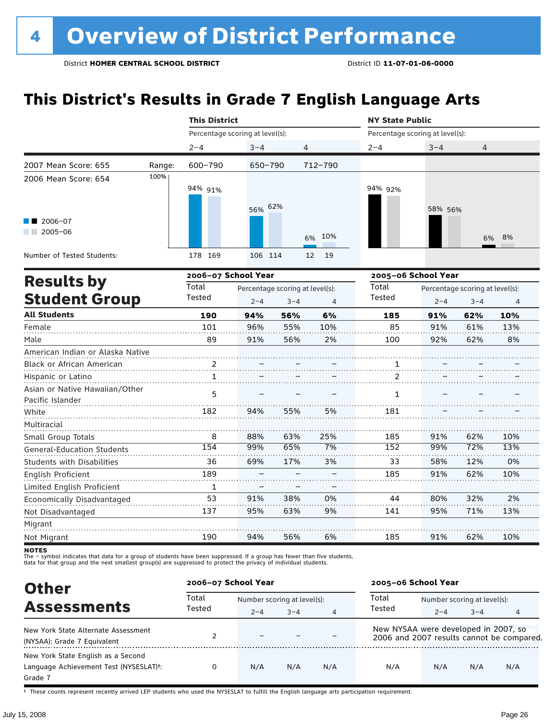# **This District's Results in Grade 7 English Language Arts**

|                                   |        | <b>This District</b>            |         |                                 |                | <b>NY State Public</b>          |         |                                 |     |  |
|-----------------------------------|--------|---------------------------------|---------|---------------------------------|----------------|---------------------------------|---------|---------------------------------|-----|--|
|                                   |        | Percentage scoring at level(s): |         |                                 |                | Percentage scoring at level(s): |         |                                 |     |  |
|                                   |        | $2 - 4$                         | $3 - 4$ | 4                               |                | $2 - 4$                         | $3 - 4$ | 4                               |     |  |
| 2007 Mean Score: 655              | Range: | 600-790                         | 650-790 |                                 | 712-790        |                                 |         |                                 |     |  |
| 2006 Mean Score: 654              | 100%   |                                 |         |                                 |                |                                 |         |                                 |     |  |
|                                   |        | 94% 91%                         |         |                                 |                | 94% 92%                         |         |                                 |     |  |
|                                   |        |                                 | 56% 62% |                                 |                |                                 |         |                                 |     |  |
| $\blacksquare$ 2006-07            |        |                                 |         |                                 |                |                                 | 58% 56% |                                 |     |  |
| $2005 - 06$<br>a sa Bala          |        |                                 |         |                                 |                |                                 |         |                                 |     |  |
|                                   |        |                                 |         |                                 | 10%<br>6%      |                                 |         | 6%                              | 8%  |  |
| Number of Tested Students:        |        | 178 169                         | 106 114 |                                 | 19<br>12       |                                 |         |                                 |     |  |
|                                   |        | 2006-07 School Year             |         |                                 |                | 2005-06 School Year             |         |                                 |     |  |
| <b>Results by</b>                 |        | Total                           |         | Percentage scoring at level(s): |                | Total                           |         | Percentage scoring at level(s): |     |  |
| <b>Student Group</b>              |        | Tested                          | $2 - 4$ | $3 - 4$                         | $\overline{4}$ | Tested                          | $2 - 4$ | $3 - 4$                         | 4   |  |
| <b>All Students</b>               |        | 190                             | 94%     | 56%                             | 6%             | 185                             | 91%     | 62%                             | 10% |  |
| Female                            |        | 101                             | 96%     | 55%                             | 10%            | 85                              | 91%     | 61%                             | 13% |  |
| Male                              |        | 89                              | 91%     | 56%                             | 2%             | 100                             | 92%     | 62%                             | 8%  |  |
| American Indian or Alaska Native  |        |                                 |         |                                 |                |                                 |         |                                 |     |  |
| Black or African American         |        | 2                               |         |                                 |                | 1                               |         |                                 |     |  |
| Hispanic or Latino                |        | 1                               |         |                                 |                | 2                               |         |                                 |     |  |
| Asian or Native Hawaiian/Other    |        | 5                               |         |                                 |                | $\mathbf{1}$                    |         |                                 |     |  |
| Pacific Islander                  |        |                                 |         |                                 |                |                                 |         |                                 |     |  |
| White                             |        | 182                             | 94%     | 55%                             | 5%             | 181                             |         |                                 |     |  |
| Multiracial                       |        |                                 |         |                                 |                |                                 |         |                                 |     |  |
| Small Group Totals                |        | 8                               | 88%     | 63%                             | 25%            | 185                             | 91%     | 62%                             | 10% |  |
| <b>General-Education Students</b> |        | 154                             | 99%     | 65%                             | 7%             | 152                             | 99%     | 72%                             | 13% |  |
| <b>Students with Disabilities</b> |        | 36                              | 69%     | 17%                             | 3%             | 33                              | 58%     | 12%                             | 0%  |  |
| English Proficient                |        | 189                             |         |                                 |                | 185                             | 91%     | 62%                             | 10% |  |
| Limited English Proficient        |        | $\mathbf{1}$                    |         |                                 |                |                                 |         |                                 |     |  |
| Economically Disadvantaged        |        | 53                              | 91%     | 38%                             | 0%             | 44                              | 80%     | 32%                             | 2%  |  |
| Not Disadvantaged                 |        | 137                             | 95%     | 63%                             | 9%             | 141                             | 95%     | 71%                             | 13% |  |
| Migrant                           |        |                                 |         |                                 |                |                                 |         |                                 |     |  |
| Not Migrant                       |        | 190                             | 94%     | 56%                             | 6%             | 185                             | 91%     | 62%                             | 10% |  |

**NOTES** 

The – symbol indicates that data for a group of students have been suppressed. If a group has fewer than five students,<br>data for that group and the next smallest group(s) are suppressed to protect the privacy of individual

| <b>Other</b>                                                                                         | 2006-07 School Year |                             |         |     | 2005-06 School Year                  |                             |         |                                           |
|------------------------------------------------------------------------------------------------------|---------------------|-----------------------------|---------|-----|--------------------------------------|-----------------------------|---------|-------------------------------------------|
| <b>Assessments</b>                                                                                   | Total<br>Tested     | Number scoring at level(s): |         |     | Total                                | Number scoring at level(s): |         |                                           |
|                                                                                                      |                     | $2 - 4$                     | $3 - 4$ | 4   | Tested                               | $2 - 4$                     | $3 - 4$ | 4                                         |
| New York State Alternate Assessment<br>(NYSAA): Grade 7 Equivalent                                   |                     | $\overline{\phantom{0}}$    |         |     | New NYSAA were developed in 2007, so |                             |         | 2006 and 2007 results cannot be compared. |
| New York State English as a Second<br>Language Achievement Test (NYSESLAT) <sup>+</sup> :<br>Grade 7 |                     | N/A                         | N/A     | N/A | N/A                                  | N/A                         | N/A     | N/A                                       |

† These counts represent recently arrived LEP students who used the NYSESLAT to fulfill the English language arts participation requirement.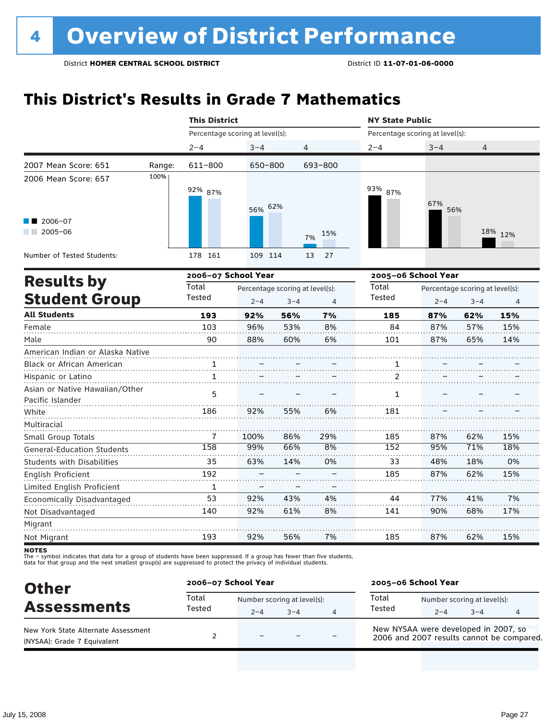# **This District's Results in Grade 7 Mathematics**

|                                  | $2 - 4$      | $3 - 4$ |                      |                                                                                         | $2 - 4$                                         | $3 - 4$ | 4                      |                                                                                                  |
|----------------------------------|--------------|---------|----------------------|-----------------------------------------------------------------------------------------|-------------------------------------------------|---------|------------------------|--------------------------------------------------------------------------------------------------|
| Range:                           | 611-800      |         |                      |                                                                                         |                                                 |         |                        |                                                                                                  |
| 100%                             | 92% 87%      |         |                      |                                                                                         | 93% 87%                                         | 67%     |                        |                                                                                                  |
|                                  |              |         |                      | 15%<br>7%                                                                               |                                                 |         |                        | 18% 12%                                                                                          |
|                                  | 178 161      |         |                      | 27<br>13                                                                                |                                                 |         |                        |                                                                                                  |
|                                  |              |         |                      |                                                                                         |                                                 |         |                        |                                                                                                  |
|                                  | Total        |         |                      |                                                                                         | Total                                           |         |                        |                                                                                                  |
|                                  |              | $2 - 4$ | $3 - 4$              | $\overline{4}$                                                                          |                                                 | $2 - 4$ | $3 - 4$                | $\overline{4}$                                                                                   |
|                                  | 193          | 92%     | 56%                  | 7%                                                                                      | 185                                             | 87%     | 62%                    | 15%                                                                                              |
|                                  | 103          | 96%     | 53%                  | 8%                                                                                      | 84                                              | 87%     | 57%                    | 15%                                                                                              |
|                                  | 90           | 88%     | 60%                  | 6%                                                                                      | 101                                             | 87%     | 65%                    | 14%                                                                                              |
| American Indian or Alaska Native |              |         |                      |                                                                                         |                                                 |         |                        |                                                                                                  |
|                                  | 1            |         |                      |                                                                                         | 1                                               |         |                        |                                                                                                  |
|                                  | $\mathbf{1}$ |         |                      |                                                                                         | 2                                               |         |                        |                                                                                                  |
|                                  | 5            |         |                      |                                                                                         | 1                                               |         |                        |                                                                                                  |
|                                  | 186          | 92%     | 55%                  | 6%                                                                                      | 181                                             |         |                        |                                                                                                  |
|                                  |              |         |                      |                                                                                         |                                                 |         |                        |                                                                                                  |
|                                  | 7            | 100%    | 86%                  | 29%                                                                                     | 185                                             | 87%     | 62%                    | 15%                                                                                              |
|                                  | 158          | 99%     | 66%                  | 8%                                                                                      | 152                                             | 95%     | 71%                    | 18%                                                                                              |
|                                  | 35           | 63%     | 14%                  | 0%                                                                                      | 33                                              | 48%     | 18%                    | 0%                                                                                               |
|                                  | 192          |         |                      |                                                                                         | 185                                             | 87%     | 62%                    | 15%                                                                                              |
|                                  | 1            |         |                      |                                                                                         |                                                 |         |                        |                                                                                                  |
|                                  | 53           | 92%     | 43%                  | 4%                                                                                      | 44                                              | 77%     | 41%                    | 7%                                                                                               |
|                                  | 140          | 92%     | 61%                  | 8%                                                                                      | 141                                             | 90%     | 68%                    | 17%                                                                                              |
|                                  |              |         |                      |                                                                                         |                                                 |         |                        |                                                                                                  |
|                                  | 193          | 92%     | 56%                  | 7%                                                                                      | 185                                             | 87%     | 62%                    | 15%                                                                                              |
|                                  |              | Tested  | <b>This District</b> | Percentage scoring at level(s):<br>650-800<br>56% 62%<br>109 114<br>2006-07 School Year | 4<br>693-800<br>Percentage scoring at level(s): | Tested  | <b>NY State Public</b> | Percentage scoring at level(s):<br>56%<br>2005-06 School Year<br>Percentage scoring at level(s): |

**NOTES** 

| <b>Other</b>                                                       | 2006-07 School Year |                                        |         |   | 2005-06 School Year                                                               |         |                                        |   |
|--------------------------------------------------------------------|---------------------|----------------------------------------|---------|---|-----------------------------------------------------------------------------------|---------|----------------------------------------|---|
| <b>Assessments</b>                                                 | Total<br>Tested     | Number scoring at level(s):<br>$2 - 4$ | $3 - 4$ | Δ | Total<br>Tested                                                                   | $2 - 4$ | Number scoring at level(s):<br>$3 - 4$ | 4 |
| New York State Alternate Assessment<br>(NYSAA): Grade 7 Equivalent |                     | $\equiv$                               |         |   | New NYSAA were developed in 2007, so<br>2006 and 2007 results cannot be compared. |         |                                        |   |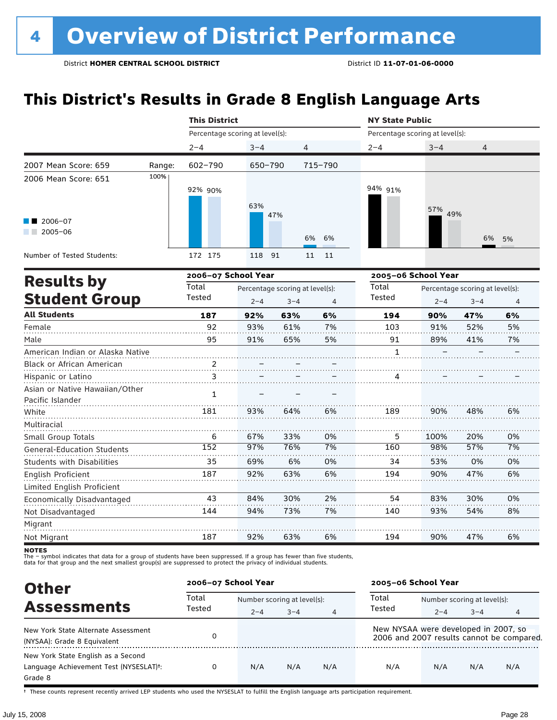# **This District's Results in Grade 8 English Language Arts**

|                                   |        | <b>This District</b>            |         |                                 |         | <b>NY State Public</b>          |                                 |         |    |
|-----------------------------------|--------|---------------------------------|---------|---------------------------------|---------|---------------------------------|---------------------------------|---------|----|
|                                   |        | Percentage scoring at level(s): |         |                                 |         | Percentage scoring at level(s): |                                 |         |    |
|                                   |        | $2 - 4$                         | $3 - 4$ | 4                               |         | $2 - 4$                         | $3 - 4$                         | 4       |    |
| 2007 Mean Score: 659              | Range: | 602-790                         | 650-790 |                                 | 715-790 |                                 |                                 |         |    |
| 2006 Mean Score: 651              | 100%   | 92% 90%                         | 63%     |                                 |         | 94% 91%                         | 57%                             |         |    |
| 2006-07<br>a sa na<br>$2005 - 06$ |        |                                 |         | 47%                             | 6% 6%   |                                 | 49%                             | 6%      | 5% |
| Number of Tested Students:        |        | 172 175                         | 118     | 11<br>91                        | 11      |                                 |                                 |         |    |
|                                   |        | 2006-07 School Year             |         |                                 |         |                                 | 2005-06 School Year             |         |    |
| <b>Results by</b>                 |        | Total                           |         | Percentage scoring at level(s): |         | Total                           | Percentage scoring at level(s): |         |    |
| <b>Student Group</b>              |        | Tested                          | $2 - 4$ | $3 - 4$                         | 4       | Tested                          | $2 - 4$                         | $3 - 4$ | 4  |
| <b>All Students</b>               |        | 187                             | 92%     | 63%                             | 6%      | 194                             | 90%                             | 47%     | 6% |
| Female                            |        | 92                              | 93%     | 61%                             | 7%      | 103                             | 91%                             | 52%     | 5% |
| Male                              |        | 95                              | 91%     | 65%                             | 5%      | 91                              | 89%                             | 41%     | 7% |
| American Indian or Alaska Native  |        |                                 |         |                                 |         | 1                               |                                 |         |    |
| <b>Black or African American</b>  |        | $\mathcal{P}$                   |         |                                 |         |                                 |                                 |         |    |
| Hispanic or Latino                | .      |                                 |         |                                 |         |                                 |                                 |         |    |
| Asian or Native Hawaiian/Other    |        |                                 |         |                                 |         |                                 |                                 |         |    |

| Asian or Native Hawaiian/Other<br>Pacific Islander |     |     |     |    |     |      |     |    |
|----------------------------------------------------|-----|-----|-----|----|-----|------|-----|----|
| White                                              | 181 | 93% | 64% | 6% | 189 | 90%  | 48% | 6% |
| Multiracial                                        |     |     |     |    |     |      |     |    |
| Small Group Totals                                 | 6   | 67% | 33% | 0% | 5   | 100% | 20% | 0% |
| <b>General-Education Students</b>                  | 152 | 97% | 76% | 7% | 160 | 98%  | 57% | 7% |
| <b>Students with Disabilities</b>                  | 35  | 69% | 6%  | 0% | 34  | 53%  | 0%  | 0% |
| English Proficient                                 | 187 | 92% | 63% | 6% | 194 | 90%  | 47% | 6% |
| Limited English Proficient                         |     |     |     |    |     |      |     |    |
| Economically Disadvantaged                         | 43  | 84% | 30% | 2% | 54  | 83%  | 30% | 0% |
| Not Disadvantaged                                  | 144 | 94% | 73% | 7% | 140 | 93%  | 54% | 8% |
| Migrant                                            |     |     |     |    |     |      |     |    |
| Not Migrant                                        | 187 | 92% | 63% | 6% | 194 | 90%  | 47% | 6% |

**NOTES** 

The – symbol indicates that data for a group of students have been suppressed. If a group has fewer than five students,<br>data for that group and the next smallest group(s) are suppressed to protect the privacy of individual

| <b>Other</b>                                                                                         | 2006-07 School Year |                             |         |     | 2005-06 School Year                  |                             |         |                                           |  |
|------------------------------------------------------------------------------------------------------|---------------------|-----------------------------|---------|-----|--------------------------------------|-----------------------------|---------|-------------------------------------------|--|
|                                                                                                      | Total<br>Tested     | Number scoring at level(s): |         |     | Total                                | Number scoring at level(s): |         |                                           |  |
| <b>Assessments</b>                                                                                   |                     | $2 - 4$                     | $3 - 4$ | 4   | Tested                               | $2 - 4$                     | $3 - 4$ | 4                                         |  |
| New York State Alternate Assessment<br>(NYSAA): Grade 8 Equivalent                                   |                     |                             |         |     | New NYSAA were developed in 2007, so |                             |         | 2006 and 2007 results cannot be compared. |  |
| New York State English as a Second<br>Language Achievement Test (NYSESLAT) <sup>+</sup> :<br>Grade 8 |                     | N/A                         | N/A     | N/A | N/A                                  | N/A                         | N/A     | N/A                                       |  |

† These counts represent recently arrived LEP students who used the NYSESLAT to fulfill the English language arts participation requirement.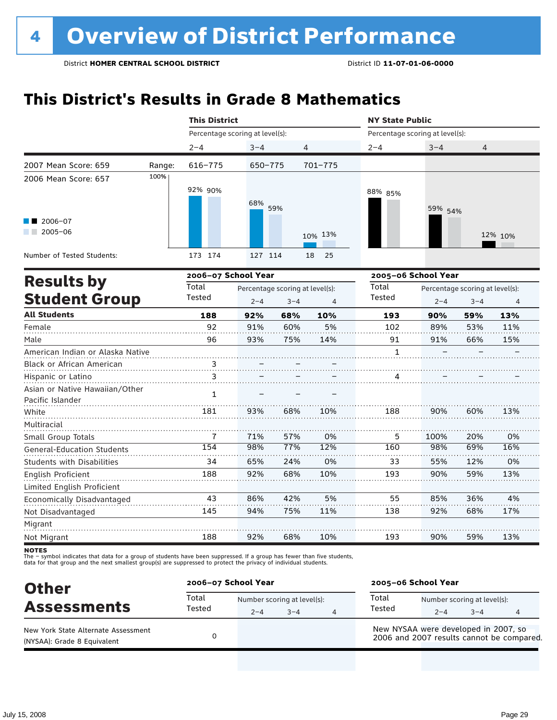# **This District's Results in Grade 8 Mathematics**

|                                   |        | <b>This District</b>            |                                 |         |          | <b>NY State Public</b>          |                                 |         |         |  |
|-----------------------------------|--------|---------------------------------|---------------------------------|---------|----------|---------------------------------|---------------------------------|---------|---------|--|
|                                   |        | Percentage scoring at level(s): |                                 |         |          | Percentage scoring at level(s): |                                 |         |         |  |
|                                   |        | $2 - 4$                         | $3 - 4$                         | 4       |          | $2 - 4$                         | $3 - 4$                         | 4       |         |  |
| 2007 Mean Score: 659              | Range: | 616-775                         | 650-775                         |         | 701-775  |                                 |                                 |         |         |  |
| 2006 Mean Score: 657              | 100%   |                                 |                                 |         |          |                                 |                                 |         |         |  |
|                                   |        | 92% 90%                         |                                 |         |          | 88% 85%                         |                                 |         |         |  |
|                                   |        |                                 | 68%                             |         |          |                                 |                                 |         |         |  |
|                                   |        |                                 |                                 | 59%     |          |                                 | 59% 54%                         |         |         |  |
| $\blacksquare$ 2006-07            |        |                                 |                                 |         |          |                                 |                                 |         |         |  |
| $2005 - 06$                       |        |                                 |                                 |         | 10% 13%  |                                 |                                 |         | 12% 10% |  |
| Number of Tested Students:        |        | 173 174                         | 127 114                         |         | 25<br>18 |                                 |                                 |         |         |  |
|                                   |        |                                 |                                 |         |          |                                 |                                 |         |         |  |
| <b>Results by</b>                 |        | 2006-07 School Year             |                                 |         |          | 2005-06 School Year             |                                 |         |         |  |
|                                   |        | Total                           | Percentage scoring at level(s): |         |          | Total                           | Percentage scoring at level(s): |         |         |  |
| <b>Student Group</b>              |        | Tested                          | $2 - 4$                         | $3 - 4$ | 4        | <b>Tested</b>                   | $2 - 4$                         | $3 - 4$ | 4       |  |
| <b>All Students</b>               |        | 188                             | 92%                             | 68%     | 10%      | 193                             | 90%                             | 59%     | 13%     |  |
| Female                            |        | 92                              | 91%                             | 60%     | 5%       | 102                             | 89%                             | 53%     | 11%     |  |
| Male                              |        | 96                              | 93%                             | 75%     | 14%      | 91                              | 91%                             | 66%     | 15%     |  |
| American Indian or Alaska Native  |        |                                 |                                 |         |          | $\mathbf{1}$                    |                                 |         |         |  |
| Black or African American         |        | $\frac{3}{2}$                   |                                 |         |          |                                 |                                 |         |         |  |
| Hispanic or Latino                |        | 3                               |                                 |         |          | 4                               |                                 |         |         |  |
| Asian or Native Hawaiian/Other    |        | 1                               |                                 |         |          |                                 |                                 |         |         |  |
| Pacific Islander                  |        |                                 |                                 |         |          |                                 |                                 |         |         |  |
| White                             |        | 181                             | 93%                             | 68%     | 10%      | 188                             | 90%                             | 60%     | 13%     |  |
| Multiracial                       |        |                                 |                                 |         |          |                                 |                                 |         |         |  |
| Small Group Totals                |        | 7                               | 71%                             | 57%     | 0%       | 5                               | 100%                            | 20%     | 0%      |  |
| <b>General-Education Students</b> |        | 154                             | 98%                             | 77%     | 12%      | 160                             | 98%                             | 69%     | 16%     |  |
| Students with Disabilities        |        | 34                              | 65%                             | 24%     | 0%       | 33                              | 55%                             | 12%     | 0%      |  |
| English Proficient                |        | 188                             | 92%                             | 68%     | 10%      | 193                             | 90%                             | 59%     | 13%     |  |
| Limited English Proficient        |        |                                 |                                 |         |          |                                 |                                 |         |         |  |
| Economically Disadvantaged        |        | 43                              | 86%                             | 42%     | 5%       | 55                              | 85%                             | 36%     | 4%      |  |
| Not Disadvantaged                 |        | 145                             | 94%                             | 75%     | 11%      | 138                             | 92%                             | 68%     | 17%     |  |
| Migrant                           |        |                                 |                                 |         |          |                                 |                                 |         |         |  |
| Not Migrant                       |        | 188                             | 92%                             | 68%     | 10%      | 193                             | 90%                             | 59%     | 13%     |  |

**NOTES** 

| <b>Other</b>                                                       | 2006-07 School Year |                                        |      |   | 2005-06 School Year                                                               |         |                                        |   |  |
|--------------------------------------------------------------------|---------------------|----------------------------------------|------|---|-----------------------------------------------------------------------------------|---------|----------------------------------------|---|--|
| <b>Assessments</b>                                                 | Total<br>Tested     | Number scoring at level(s):<br>$2 - 4$ | $-4$ | 4 | Total<br>Tested                                                                   | $2 - 4$ | Number scoring at level(s):<br>$3 - 4$ | 4 |  |
| New York State Alternate Assessment<br>(NYSAA): Grade 8 Equivalent |                     |                                        |      |   | New NYSAA were developed in 2007, so<br>2006 and 2007 results cannot be compared. |         |                                        |   |  |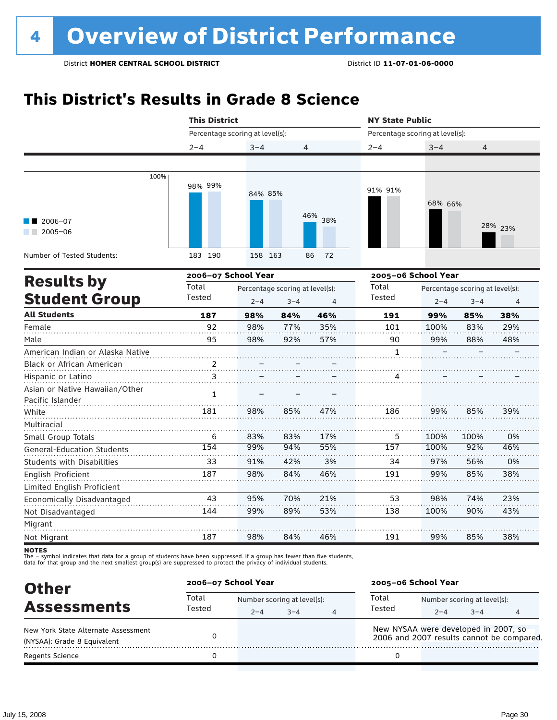# **This District's Results in Grade 8 Science**

|                                                    | <b>This District</b>            |         |                                            |                | <b>NY State Public</b> |                                 |                                            |                |  |
|----------------------------------------------------|---------------------------------|---------|--------------------------------------------|----------------|------------------------|---------------------------------|--------------------------------------------|----------------|--|
|                                                    | Percentage scoring at level(s): |         |                                            |                |                        | Percentage scoring at level(s): |                                            |                |  |
|                                                    | $2 - 4$                         | $3 - 4$ | 4                                          |                | $2 - 4$                | $3 - 4$                         | 4                                          |                |  |
|                                                    |                                 |         |                                            |                |                        |                                 |                                            |                |  |
| 100%                                               | 98% 99%                         | 84% 85% |                                            |                | 91% 91%                | 68% 66%                         |                                            |                |  |
| 2006-07<br>$2005 - 06$                             |                                 |         |                                            | 46% 38%        |                        |                                 |                                            | 28% 23%        |  |
| Number of Tested Students:                         | 183 190                         | 158 163 |                                            | 86<br>72       |                        |                                 |                                            |                |  |
| <b>Results by</b>                                  | 2006-07 School Year             |         |                                            |                | 2005-06 School Year    |                                 |                                            |                |  |
| <b>Student Group</b>                               | Total<br>Tested                 | $2 - 4$ | Percentage scoring at level(s):<br>$3 - 4$ | $\overline{4}$ | Total<br>Tested        | $2 - 4$                         | Percentage scoring at level(s):<br>$3 - 4$ | $\overline{4}$ |  |
| <b>All Students</b>                                | 187                             | 98%     | 84%                                        | 46%            | 191                    | 99%                             | 85%                                        | 38%            |  |
| Female                                             | 92                              | 98%     | 77%                                        | 35%            | 101                    | 100%                            | 83%                                        | 29%            |  |
| Male                                               | 95                              | 98%     | 92%                                        | 57%            | 90                     | 99%                             | 88%                                        | 48%            |  |
| American Indian or Alaska Native                   |                                 |         |                                            |                | 1                      |                                 |                                            |                |  |
| Black or African American                          |                                 |         |                                            |                |                        |                                 |                                            |                |  |
| Hispanic or Latino                                 | 3                               |         |                                            |                | 4                      |                                 |                                            |                |  |
| Asian or Native Hawaiian/Other<br>Pacific Islander | $\mathbf{1}$                    |         |                                            |                |                        |                                 |                                            |                |  |
| White                                              | 181                             | 98%     | 85%                                        | 47%            | 186                    | 99%                             | 85%                                        | 39%            |  |
| Multiracial                                        |                                 |         |                                            |                |                        |                                 |                                            |                |  |
| Small Group Totals                                 | 6                               | 83%     | 83%                                        | 17%            | 5                      | 100%                            | 100%                                       | 0%             |  |
| <b>General-Education Students</b>                  | 154                             | 99%     | 94%                                        | 55%            | 157                    | 100%                            | 92%                                        | 46%            |  |
| <b>Students with Disabilities</b>                  | 33                              | 91%     | 42%                                        | 3%             | 34                     | 97%                             | 56%                                        | 0%             |  |
| English Proficient                                 | 187                             | 98%     | 84%                                        | 46%            | 191                    | 99%                             | 85%                                        | 38%            |  |
| Limited English Proficient                         |                                 |         |                                            |                |                        |                                 |                                            |                |  |
| Economically Disadvantaged                         | 43                              | 95%     | 70%                                        | 21%            | 53                     | 98%                             | 74%                                        | 23%            |  |
| Not Disadvantaged                                  | 144                             | 99%     | 89%                                        | 53%            | 138                    | 100%                            | 90%                                        | 43%            |  |
| Migrant<br>Not Migrant                             | 187                             | 98%     | 84%                                        | 46%            | 191                    | 99%                             | 85%                                        | 38%            |  |
|                                                    |                                 |         |                                            |                |                        |                                 |                                            |                |  |

notes

| <b>Other</b>                        |                 | 2006-07 School Year |                             |   | 2005-06 School Year                                                               |                             |         |  |  |
|-------------------------------------|-----------------|---------------------|-----------------------------|---|-----------------------------------------------------------------------------------|-----------------------------|---------|--|--|
| <b>Assessments</b>                  | Total<br>Tested |                     | Number scoring at level(s): |   |                                                                                   | Number scoring at level(s): |         |  |  |
|                                     |                 | $2 - 4$             | $3 - 4$                     | 4 | Tested                                                                            | $2 - 4$                     | $3 - 4$ |  |  |
| New York State Alternate Assessment |                 |                     |                             |   | New NYSAA were developed in 2007, so<br>2006 and 2007 results cannot be compared. |                             |         |  |  |
| (NYSAA): Grade 8 Equivalent         |                 |                     |                             |   |                                                                                   |                             |         |  |  |
| Regents Science                     |                 |                     |                             |   |                                                                                   |                             |         |  |  |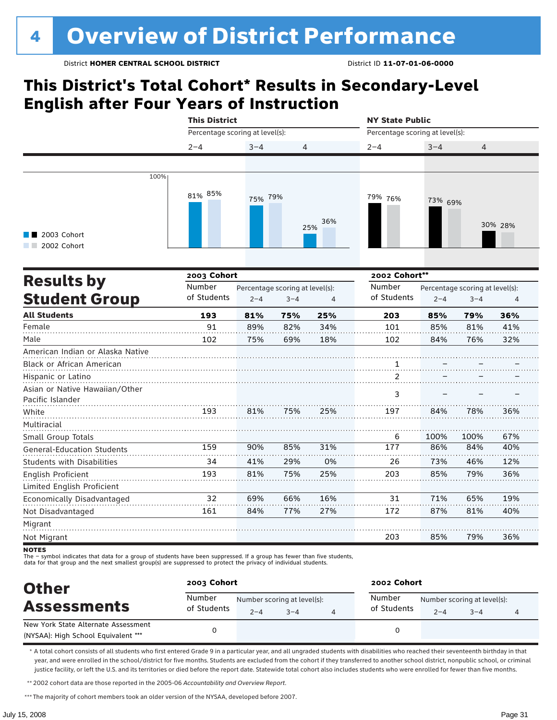# **This District's Total Cohort\* Results in Secondary-Level English after Four Years of Instruction**

|                                                    | <b>This District</b> |                                                                                                                                                                                                                                                                                                                                                                                                                                                                                          |     |     | <b>NY State Public</b> |      |      |         |  |
|----------------------------------------------------|----------------------|------------------------------------------------------------------------------------------------------------------------------------------------------------------------------------------------------------------------------------------------------------------------------------------------------------------------------------------------------------------------------------------------------------------------------------------------------------------------------------------|-----|-----|------------------------|------|------|---------|--|
|                                                    |                      | Percentage scoring at level(s):<br>Percentage scoring at level(s):<br>$3 - 4$<br>$2 - 4$<br>$3 - 4$<br>4<br>4<br>75% 79%<br>79% 76%<br>73% 69%<br>36%<br>25%<br>2002 Cohort**<br>Number<br>Percentage scoring at level(s):<br>Percentage scoring at level(s):<br>of Students<br>$2 - 4$<br>$3 - 4$<br>$\overline{4}$<br>$2 - 4$<br>$3 - 4$<br>25%<br>203<br>81%<br>75%<br>85%<br>79%<br>91<br>89%<br>82%<br>34%<br>85%<br>81%<br>101<br>75%<br>69%<br>18%<br>102<br>84%<br>76%<br>2<br>3 |     |     |                        |      |      |         |  |
|                                                    | $2 - 4$              |                                                                                                                                                                                                                                                                                                                                                                                                                                                                                          |     |     |                        |      |      |         |  |
|                                                    |                      |                                                                                                                                                                                                                                                                                                                                                                                                                                                                                          |     |     |                        |      |      |         |  |
| 100%                                               |                      |                                                                                                                                                                                                                                                                                                                                                                                                                                                                                          |     |     |                        |      |      |         |  |
| 2003 Cohort<br>2002 Cohort                         | 81% 85%              |                                                                                                                                                                                                                                                                                                                                                                                                                                                                                          |     |     |                        |      |      | 30% 28% |  |
|                                                    | 2003 Cohort          |                                                                                                                                                                                                                                                                                                                                                                                                                                                                                          |     |     |                        |      |      |         |  |
| <b>Results by</b>                                  | Number               |                                                                                                                                                                                                                                                                                                                                                                                                                                                                                          |     |     |                        |      |      |         |  |
| <b>Student Group</b>                               | of Students          |                                                                                                                                                                                                                                                                                                                                                                                                                                                                                          |     |     |                        |      |      | 4       |  |
| <b>All Students</b>                                | 193                  |                                                                                                                                                                                                                                                                                                                                                                                                                                                                                          |     |     |                        |      |      | 36%     |  |
| Female                                             |                      |                                                                                                                                                                                                                                                                                                                                                                                                                                                                                          |     |     |                        |      |      | 41%     |  |
| Male                                               | 102                  |                                                                                                                                                                                                                                                                                                                                                                                                                                                                                          |     |     |                        |      |      | 32%     |  |
| American Indian or Alaska Native                   |                      |                                                                                                                                                                                                                                                                                                                                                                                                                                                                                          |     |     |                        |      |      |         |  |
| Black or African American                          |                      |                                                                                                                                                                                                                                                                                                                                                                                                                                                                                          |     |     |                        |      |      |         |  |
| Hispanic or Latino                                 |                      |                                                                                                                                                                                                                                                                                                                                                                                                                                                                                          |     |     |                        |      |      |         |  |
| Asian or Native Hawaiian/Other<br>Pacific Islander |                      |                                                                                                                                                                                                                                                                                                                                                                                                                                                                                          |     |     |                        |      |      |         |  |
| White                                              | 193                  | 81%                                                                                                                                                                                                                                                                                                                                                                                                                                                                                      | 75% | 25% | 197                    | 84%  | 78%  | 36%     |  |
| Multiracial                                        |                      |                                                                                                                                                                                                                                                                                                                                                                                                                                                                                          |     |     |                        |      |      |         |  |
| Small Group Totals                                 |                      |                                                                                                                                                                                                                                                                                                                                                                                                                                                                                          |     |     | 6                      | 100% | 100% | 67%     |  |
| <b>General-Education Students</b>                  | 159                  | 90%                                                                                                                                                                                                                                                                                                                                                                                                                                                                                      | 85% | 31% | 177                    | 86%  | 84%  | 40%     |  |
| <b>Students with Disabilities</b>                  | 34                   | 41%                                                                                                                                                                                                                                                                                                                                                                                                                                                                                      | 29% | 0%  | 26                     | 73%  | 46%  | 12%     |  |
| English Proficient                                 | 193                  | 81%                                                                                                                                                                                                                                                                                                                                                                                                                                                                                      | 75% | 25% | 203                    | 85%  | 79%  | 36%     |  |
| Limited English Proficient                         |                      |                                                                                                                                                                                                                                                                                                                                                                                                                                                                                          |     |     |                        |      |      |         |  |
| Economically Disadvantaged                         | 32                   | 69%                                                                                                                                                                                                                                                                                                                                                                                                                                                                                      | 66% | 16% | 31                     | 71%  | 65%  | 19%     |  |
| Not Disadvantaged                                  | 161                  | 84%                                                                                                                                                                                                                                                                                                                                                                                                                                                                                      | 77% | 27% | 172                    | 87%  | 81%  | 40%     |  |
| Migrant<br>Not Migrant                             |                      |                                                                                                                                                                                                                                                                                                                                                                                                                                                                                          |     |     | 203                    | 85%  | 79%  | 36%     |  |
|                                                    |                      |                                                                                                                                                                                                                                                                                                                                                                                                                                                                                          |     |     |                        |      |      |         |  |

NOTES<br>The – symbol indicates that data for a group of students have been suppressed. If a group has fewer than five students,<br>data for that group and the next smallest group(s) are suppressed to protect the privacy of indi

| <b>Other</b>                                                               | 2003 Cohort           |         |                                        | 2002 Cohort |                       |                                        |         |  |  |
|----------------------------------------------------------------------------|-----------------------|---------|----------------------------------------|-------------|-----------------------|----------------------------------------|---------|--|--|
| <b>Assessments</b>                                                         | Number<br>of Students | $2 - 4$ | Number scoring at level(s):<br>$3 - 4$ |             | Number<br>of Students | Number scoring at level(s):<br>$2 - 4$ | $3 - 4$ |  |  |
| New York State Alternate Assessment<br>(NYSAA): High School Equivalent *** |                       |         |                                        |             |                       |                                        |         |  |  |

\* A total cohort consists of all students who first entered Grade 9 in a particular year, and all ungraded students with disabilities who reached their seventeenth birthday in that year, and were enrolled in the school/district for five months. Students are excluded from the cohort if they transferred to another school district, nonpublic school, or criminal justice facility, or left the U.S. and its territories or died before the report date. Statewide total cohort also includes students who were enrolled for fewer than five months.

\*\*2002 cohort data are those reported in the 2005-06 *Accountability and Overview Report*.

\*\*\* The majority of cohort members took an older version of the NYSAA, developed before 2007.